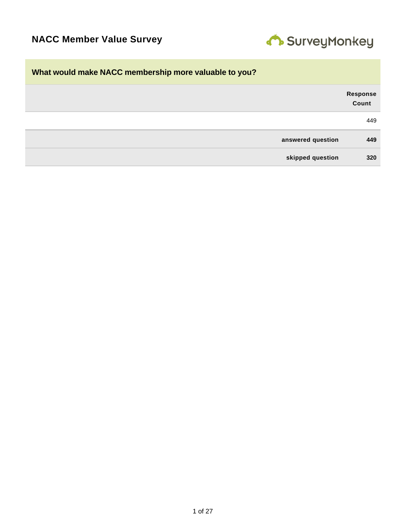

# **What would make NACC membership more valuable to you?**

| Response<br>Count |                   |
|-------------------|-------------------|
| 449               |                   |
| 449               | answered question |
| 320               | skipped question  |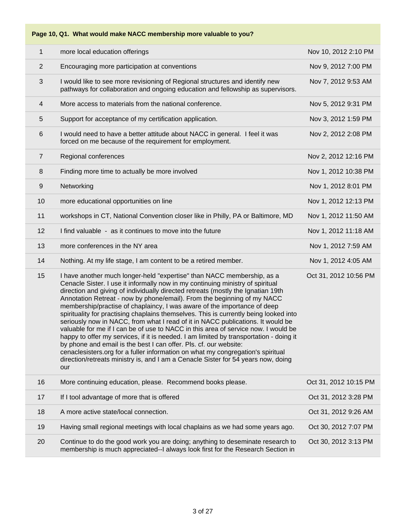**Page 10, Q1. What would make NACC membership more valuable to you?**

| 1              | more local education offerings                                                                                                                                                                                                                                                                                                                                                                                                                                                                                                                                                                                                                                                                                                                                                                                                                                                                                                                                                                                      | Nov 10, 2012 2:10 PM  |
|----------------|---------------------------------------------------------------------------------------------------------------------------------------------------------------------------------------------------------------------------------------------------------------------------------------------------------------------------------------------------------------------------------------------------------------------------------------------------------------------------------------------------------------------------------------------------------------------------------------------------------------------------------------------------------------------------------------------------------------------------------------------------------------------------------------------------------------------------------------------------------------------------------------------------------------------------------------------------------------------------------------------------------------------|-----------------------|
| $\overline{2}$ | Encouraging more participation at conventions                                                                                                                                                                                                                                                                                                                                                                                                                                                                                                                                                                                                                                                                                                                                                                                                                                                                                                                                                                       | Nov 9, 2012 7:00 PM   |
| 3              | I would like to see more revisioning of Regional structures and identify new<br>pathways for collaboration and ongoing education and fellowship as supervisors.                                                                                                                                                                                                                                                                                                                                                                                                                                                                                                                                                                                                                                                                                                                                                                                                                                                     | Nov 7, 2012 9:53 AM   |
| 4              | More access to materials from the national conference.                                                                                                                                                                                                                                                                                                                                                                                                                                                                                                                                                                                                                                                                                                                                                                                                                                                                                                                                                              | Nov 5, 2012 9:31 PM   |
| 5              | Support for acceptance of my certification application.                                                                                                                                                                                                                                                                                                                                                                                                                                                                                                                                                                                                                                                                                                                                                                                                                                                                                                                                                             | Nov 3, 2012 1:59 PM   |
| 6              | I would need to have a better attitude about NACC in general. I feel it was<br>forced on me because of the requirement for employment.                                                                                                                                                                                                                                                                                                                                                                                                                                                                                                                                                                                                                                                                                                                                                                                                                                                                              | Nov 2, 2012 2:08 PM   |
| 7              | Regional conferences                                                                                                                                                                                                                                                                                                                                                                                                                                                                                                                                                                                                                                                                                                                                                                                                                                                                                                                                                                                                | Nov 2, 2012 12:16 PM  |
| 8              | Finding more time to actually be more involved                                                                                                                                                                                                                                                                                                                                                                                                                                                                                                                                                                                                                                                                                                                                                                                                                                                                                                                                                                      | Nov 1, 2012 10:38 PM  |
| $9\,$          | Networking                                                                                                                                                                                                                                                                                                                                                                                                                                                                                                                                                                                                                                                                                                                                                                                                                                                                                                                                                                                                          | Nov 1, 2012 8:01 PM   |
| 10             | more educational opportunities on line                                                                                                                                                                                                                                                                                                                                                                                                                                                                                                                                                                                                                                                                                                                                                                                                                                                                                                                                                                              | Nov 1, 2012 12:13 PM  |
| 11             | workshops in CT, National Convention closer like in Philly, PA or Baltimore, MD                                                                                                                                                                                                                                                                                                                                                                                                                                                                                                                                                                                                                                                                                                                                                                                                                                                                                                                                     | Nov 1, 2012 11:50 AM  |
| 12             | I find valuable - as it continues to move into the future                                                                                                                                                                                                                                                                                                                                                                                                                                                                                                                                                                                                                                                                                                                                                                                                                                                                                                                                                           | Nov 1, 2012 11:18 AM  |
| 13             | more conferences in the NY area                                                                                                                                                                                                                                                                                                                                                                                                                                                                                                                                                                                                                                                                                                                                                                                                                                                                                                                                                                                     | Nov 1, 2012 7:59 AM   |
| 14             | Nothing. At my life stage, I am content to be a retired member.                                                                                                                                                                                                                                                                                                                                                                                                                                                                                                                                                                                                                                                                                                                                                                                                                                                                                                                                                     | Nov 1, 2012 4:05 AM   |
| 15             | I have another much longer-held "expertise" than NACC membership, as a<br>Cenacle Sister. I use it informally now in my continuing ministry of spiritual<br>direction and giving of individually directed retreats (mostly the Ignatian 19th<br>Annotation Retreat - now by phone/email). From the beginning of my NACC<br>membership/practise of chaplaincy, I was aware of the importance of deep<br>spirituality for practising chaplains themselves. This is currently being looked into<br>seriously now in NACC, from what I read of it in NACC publications. It would be<br>valuable for me if I can be of use to NACC in this area of service now. I would be<br>happy to offer my services, if it is needed. I am limited by transportation - doing it<br>by phone and email is the best I can offer. Pls. cf. our website:<br>cenaclesisters.org for a fuller information on what my congregation's spiritual<br>direction/retreats ministry is, and I am a Cenacle Sister for 54 years now, doing<br>our | Oct 31, 2012 10:56 PM |
| 16             | More continuing education, please. Recommend books please.                                                                                                                                                                                                                                                                                                                                                                                                                                                                                                                                                                                                                                                                                                                                                                                                                                                                                                                                                          | Oct 31, 2012 10:15 PM |
| 17             | If I tool advantage of more that is offered                                                                                                                                                                                                                                                                                                                                                                                                                                                                                                                                                                                                                                                                                                                                                                                                                                                                                                                                                                         | Oct 31, 2012 3:28 PM  |
| 18             | A more active state/local connection.                                                                                                                                                                                                                                                                                                                                                                                                                                                                                                                                                                                                                                                                                                                                                                                                                                                                                                                                                                               | Oct 31, 2012 9:26 AM  |
| 19             | Having small regional meetings with local chaplains as we had some years ago.                                                                                                                                                                                                                                                                                                                                                                                                                                                                                                                                                                                                                                                                                                                                                                                                                                                                                                                                       | Oct 30, 2012 7:07 PM  |
| 20             | Continue to do the good work you are doing; anything to deseminate research to<br>membership is much appreciated--I always look first for the Research Section in                                                                                                                                                                                                                                                                                                                                                                                                                                                                                                                                                                                                                                                                                                                                                                                                                                                   | Oct 30, 2012 3:13 PM  |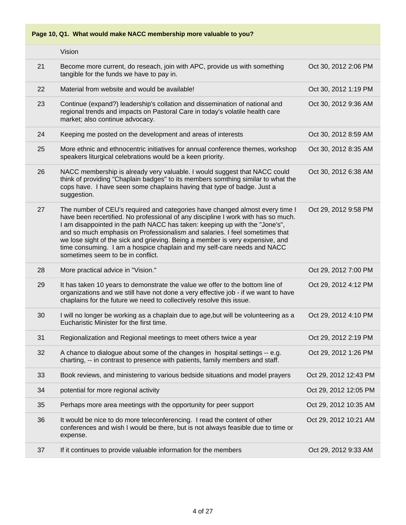**Page 10, Q1. What would make NACC membership more valuable to you?**

|    | Vision                                                                                                                                                                                                                                                                                                                                                                                                                                                                                                                           |                       |
|----|----------------------------------------------------------------------------------------------------------------------------------------------------------------------------------------------------------------------------------------------------------------------------------------------------------------------------------------------------------------------------------------------------------------------------------------------------------------------------------------------------------------------------------|-----------------------|
| 21 | Become more current, do reseach, join with APC, provide us with something<br>tangible for the funds we have to pay in.                                                                                                                                                                                                                                                                                                                                                                                                           | Oct 30, 2012 2:06 PM  |
| 22 | Material from website and would be available!                                                                                                                                                                                                                                                                                                                                                                                                                                                                                    | Oct 30, 2012 1:19 PM  |
| 23 | Continue (expand?) leadership's collation and dissemination of national and<br>regional trends and impacts on Pastoral Care in today's volatile health care<br>market; also continue advocacy.                                                                                                                                                                                                                                                                                                                                   | Oct 30, 2012 9:36 AM  |
| 24 | Keeping me posted on the development and areas of interests                                                                                                                                                                                                                                                                                                                                                                                                                                                                      | Oct 30, 2012 8:59 AM  |
| 25 | More ethnic and ethnocentric initiatives for annual conference themes, workshop<br>speakers liturgical celebrations would be a keen priority.                                                                                                                                                                                                                                                                                                                                                                                    | Oct 30, 2012 8:35 AM  |
| 26 | NACC membership is already very valuable. I would suggest that NACC could<br>think of providing "Chaplain badges" to its members somthing similar to what the<br>cops have. I have seen some chaplains having that type of badge. Just a<br>suggestion.                                                                                                                                                                                                                                                                          | Oct 30, 2012 6:38 AM  |
| 27 | The number of CEU's required and categories have changed almost every time I<br>have been recertified. No professional of any discipline I work with has so much.<br>I am disappointed in the path NACC has taken: keeping up with the "Jone's",<br>and so much emphasis on Professionalism and salaries. I feel sometimes that<br>we lose sight of the sick and grieving. Being a member is very expensive, and<br>time consuming. I am a hospice chaplain and my self-care needs and NACC<br>sometimes seem to be in conflict. | Oct 29, 2012 9:58 PM  |
| 28 | More practical advice in "Vision."                                                                                                                                                                                                                                                                                                                                                                                                                                                                                               | Oct 29, 2012 7:00 PM  |
| 29 | It has taken 10 years to demonstrate the value we offer to the bottom line of<br>organizations and we still have not done a very effective job - if we want to have<br>chaplains for the future we need to collectively resolve this issue.                                                                                                                                                                                                                                                                                      | Oct 29, 2012 4:12 PM  |
| 30 | I will no longer be working as a chaplain due to age, but will be volunteering as a<br>Eucharistic Minister for the first time.                                                                                                                                                                                                                                                                                                                                                                                                  | Oct 29, 2012 4:10 PM  |
| 31 | Regionalization and Regional meetings to meet others twice a year                                                                                                                                                                                                                                                                                                                                                                                                                                                                | Oct 29, 2012 2:19 PM  |
| 32 | A chance to dialogue about some of the changes in hospital settings -- e.g.<br>charting, -- in contrast to presence with patients, family members and staff.                                                                                                                                                                                                                                                                                                                                                                     | Oct 29, 2012 1:26 PM  |
| 33 | Book reviews, and ministering to various bedside situations and model prayers                                                                                                                                                                                                                                                                                                                                                                                                                                                    | Oct 29, 2012 12:43 PM |
| 34 | potential for more regional activity                                                                                                                                                                                                                                                                                                                                                                                                                                                                                             | Oct 29, 2012 12:05 PM |
| 35 | Perhaps more area meetings with the opportunity for peer support                                                                                                                                                                                                                                                                                                                                                                                                                                                                 | Oct 29, 2012 10:35 AM |
| 36 | It would be nice to do more teleconferencing. I read the content of other<br>conferences and wish I would be there, but is not always feasible due to time or<br>expense.                                                                                                                                                                                                                                                                                                                                                        | Oct 29, 2012 10:21 AM |
| 37 | If it continues to provide valuable information for the members                                                                                                                                                                                                                                                                                                                                                                                                                                                                  | Oct 29, 2012 9:33 AM  |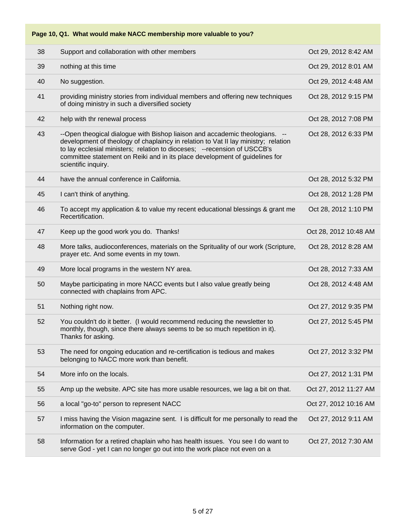| 38 | Support and collaboration with other members                                                                                                                                                                                                                                                                                                         | Oct 29, 2012 8:42 AM  |
|----|------------------------------------------------------------------------------------------------------------------------------------------------------------------------------------------------------------------------------------------------------------------------------------------------------------------------------------------------------|-----------------------|
| 39 | nothing at this time                                                                                                                                                                                                                                                                                                                                 | Oct 29, 2012 8:01 AM  |
| 40 | No suggestion.                                                                                                                                                                                                                                                                                                                                       | Oct 29, 2012 4:48 AM  |
| 41 | providing ministry stories from individual members and offering new techniques<br>of doing ministry in such a diversified society                                                                                                                                                                                                                    | Oct 28, 2012 9:15 PM  |
| 42 | help with thr renewal process                                                                                                                                                                                                                                                                                                                        | Oct 28, 2012 7:08 PM  |
| 43 | --Open theogical dialogue with Bishop liaison and accademic theologians. --<br>development of theology of chaplaincy in relation to Vat II lay ministry; relation<br>to lay ecclesial ministers; relation to dioceses; -- recension of USCCB's<br>committee statement on Reiki and in its place development of guidelines for<br>scientific inquiry. | Oct 28, 2012 6:33 PM  |
| 44 | have the annual conference in California.                                                                                                                                                                                                                                                                                                            | Oct 28, 2012 5:32 PM  |
| 45 | I can't think of anything.                                                                                                                                                                                                                                                                                                                           | Oct 28, 2012 1:28 PM  |
| 46 | To accept my application & to value my recent educational blessings & grant me<br>Recertification.                                                                                                                                                                                                                                                   | Oct 28, 2012 1:10 PM  |
| 47 | Keep up the good work you do. Thanks!                                                                                                                                                                                                                                                                                                                | Oct 28, 2012 10:48 AM |
| 48 | More talks, audioconferences, materials on the Sprituality of our work (Scripture,<br>prayer etc. And some events in my town.                                                                                                                                                                                                                        | Oct 28, 2012 8:28 AM  |
| 49 | More local programs in the western NY area.                                                                                                                                                                                                                                                                                                          | Oct 28, 2012 7:33 AM  |
| 50 | Maybe participating in more NACC events but I also value greatly being<br>connected with chaplains from APC.                                                                                                                                                                                                                                         | Oct 28, 2012 4:48 AM  |
| 51 | Nothing right now.                                                                                                                                                                                                                                                                                                                                   | Oct 27, 2012 9:35 PM  |
| 52 | You couldn't do it better. (I would recommend reducing the newsletter to<br>monthly, though, since there always seems to be so much repetition in it).<br>Thanks for asking.                                                                                                                                                                         | Oct 27, 2012 5:45 PM  |
| 53 | The need for ongoing education and re-certification is tedious and makes<br>belonging to NACC more work than benefit.                                                                                                                                                                                                                                | Oct 27, 2012 3:32 PM  |
| 54 | More info on the locals.                                                                                                                                                                                                                                                                                                                             | Oct 27, 2012 1:31 PM  |
| 55 | Amp up the website. APC site has more usable resources, we lag a bit on that.                                                                                                                                                                                                                                                                        | Oct 27, 2012 11:27 AM |
| 56 | a local "go-to" person to represent NACC                                                                                                                                                                                                                                                                                                             | Oct 27, 2012 10:16 AM |
| 57 | I miss having the Vision magazine sent. I is difficult for me personally to read the<br>information on the computer.                                                                                                                                                                                                                                 | Oct 27, 2012 9:11 AM  |
| 58 | Information for a retired chaplain who has health issues. You see I do want to<br>serve God - yet I can no longer go out into the work place not even on a                                                                                                                                                                                           | Oct 27, 2012 7:30 AM  |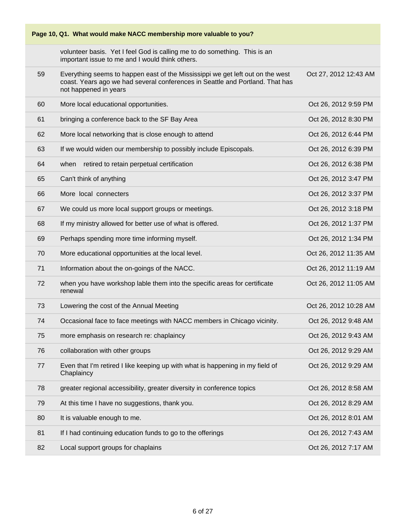| Page 10, Q1. What would make NACC membership more valuable to you? |                                                                                                                                                                                          |                       |  |
|--------------------------------------------------------------------|------------------------------------------------------------------------------------------------------------------------------------------------------------------------------------------|-----------------------|--|
|                                                                    | volunteer basis. Yet I feel God is calling me to do something. This is an<br>important issue to me and I would think others.                                                             |                       |  |
| 59                                                                 | Everything seems to happen east of the Mississippi we get left out on the west<br>coast. Years ago we had several conferences in Seattle and Portland. That has<br>not happened in years | Oct 27, 2012 12:43 AM |  |
| 60                                                                 | More local educational opportunities.                                                                                                                                                    | Oct 26, 2012 9:59 PM  |  |
| 61                                                                 | bringing a conference back to the SF Bay Area                                                                                                                                            | Oct 26, 2012 8:30 PM  |  |
| 62                                                                 | More local networking that is close enough to attend                                                                                                                                     | Oct 26, 2012 6:44 PM  |  |
| 63                                                                 | If we would widen our membership to possibly include Episcopals.                                                                                                                         | Oct 26, 2012 6:39 PM  |  |
| 64                                                                 | retired to retain perpetual certification<br>when                                                                                                                                        | Oct 26, 2012 6:38 PM  |  |
| 65                                                                 | Can't think of anything                                                                                                                                                                  | Oct 26, 2012 3:47 PM  |  |
| 66                                                                 | More local connecters                                                                                                                                                                    | Oct 26, 2012 3:37 PM  |  |
| 67                                                                 | We could us more local support groups or meetings.                                                                                                                                       | Oct 26, 2012 3:18 PM  |  |
| 68                                                                 | If my ministry allowed for better use of what is offered.                                                                                                                                | Oct 26, 2012 1:37 PM  |  |
| 69                                                                 | Perhaps spending more time informing myself.                                                                                                                                             | Oct 26, 2012 1:34 PM  |  |
| 70                                                                 | More educational opportunities at the local level.                                                                                                                                       | Oct 26, 2012 11:35 AM |  |
| 71                                                                 | Information about the on-goings of the NACC.                                                                                                                                             | Oct 26, 2012 11:19 AM |  |
| 72                                                                 | when you have workshop lable them into the specific areas for certificate<br>renewal                                                                                                     | Oct 26, 2012 11:05 AM |  |
| 73                                                                 | Lowering the cost of the Annual Meeting                                                                                                                                                  | Oct 26, 2012 10:28 AM |  |
| 74                                                                 | Occasional face to face meetings with NACC members in Chicago vicinity.                                                                                                                  | Oct 26, 2012 9:48 AM  |  |
| 75                                                                 | more emphasis on research re: chaplaincy                                                                                                                                                 | Oct 26, 2012 9:43 AM  |  |
| 76                                                                 | collaboration with other groups                                                                                                                                                          | Oct 26, 2012 9:29 AM  |  |
| 77                                                                 | Even that I'm retired I like keeping up with what is happening in my field of<br>Chaplaincy                                                                                              | Oct 26, 2012 9:29 AM  |  |
| 78                                                                 | greater regional accessibility, greater diversity in conference topics                                                                                                                   | Oct 26, 2012 8:58 AM  |  |
| 79                                                                 | At this time I have no suggestions, thank you.                                                                                                                                           | Oct 26, 2012 8:29 AM  |  |
| 80                                                                 | It is valuable enough to me.                                                                                                                                                             | Oct 26, 2012 8:01 AM  |  |
| 81                                                                 | If I had continuing education funds to go to the offerings                                                                                                                               | Oct 26, 2012 7:43 AM  |  |
| 82                                                                 | Local support groups for chaplains                                                                                                                                                       | Oct 26, 2012 7:17 AM  |  |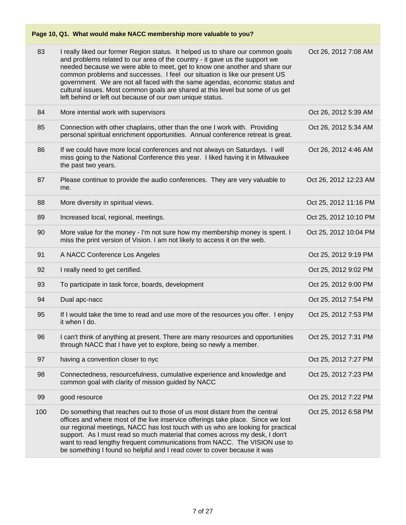| 83  | I really liked our former Region status. It helped us to share our common goals<br>and problems related to our area of the country - it gave us the support we<br>needed because we were able to meet, get to know one another and share our<br>common problems and successes. I feel our situation is like our present US<br>government. We are not all faced with the same agendas, economic status and<br>cultural issues. Most common goals are shared at this level but some of us get<br>left behind or left out because of our own unique status. | Oct 26, 2012 7:08 AM  |
|-----|----------------------------------------------------------------------------------------------------------------------------------------------------------------------------------------------------------------------------------------------------------------------------------------------------------------------------------------------------------------------------------------------------------------------------------------------------------------------------------------------------------------------------------------------------------|-----------------------|
| 84  | More intential work with supervisors                                                                                                                                                                                                                                                                                                                                                                                                                                                                                                                     | Oct 26, 2012 5:39 AM  |
| 85  | Connection with other chaplains, other than the one I work with. Providing<br>personal spiritual enrichment opportunities. Annual conference retreat is great.                                                                                                                                                                                                                                                                                                                                                                                           | Oct 26, 2012 5:34 AM  |
| 86  | If we could have more local conferences and not always on Saturdays. I will<br>miss going to the National Conference this year. I liked having it in Milwaukee<br>the past two years.                                                                                                                                                                                                                                                                                                                                                                    | Oct 26, 2012 4:46 AM  |
| 87  | Please continue to provide the audio conferences. They are very valuable to<br>me.                                                                                                                                                                                                                                                                                                                                                                                                                                                                       | Oct 26, 2012 12:23 AM |
| 88  | More diversity in spiritual views.                                                                                                                                                                                                                                                                                                                                                                                                                                                                                                                       | Oct 25, 2012 11:16 PM |
| 89  | Increased local, regional, meetings.                                                                                                                                                                                                                                                                                                                                                                                                                                                                                                                     | Oct 25, 2012 10:10 PM |
| 90  | More value for the money - I'm not sure how my membership money is spent. I<br>miss the print version of Vision. I am not likely to access it on the web.                                                                                                                                                                                                                                                                                                                                                                                                | Oct 25, 2012 10:04 PM |
| 91  | A NACC Conference Los Angeles                                                                                                                                                                                                                                                                                                                                                                                                                                                                                                                            | Oct 25, 2012 9:19 PM  |
| 92  | I really need to get certified.                                                                                                                                                                                                                                                                                                                                                                                                                                                                                                                          | Oct 25, 2012 9:02 PM  |
| 93  | To participate in task force, boards, development                                                                                                                                                                                                                                                                                                                                                                                                                                                                                                        | Oct 25, 2012 9:00 PM  |
| 94  | Dual apc-nacc                                                                                                                                                                                                                                                                                                                                                                                                                                                                                                                                            | Oct 25, 2012 7:54 PM  |
| 95  | If I would take the time to read and use more of the resources you offer. I enjoy<br>it when I do.                                                                                                                                                                                                                                                                                                                                                                                                                                                       | Oct 25, 2012 7:53 PM  |
| 96  | I can't think of anything at present. There are many resources and opportunities<br>through NACC that I have yet to explore, being so newly a member.                                                                                                                                                                                                                                                                                                                                                                                                    | Oct 25, 2012 7:31 PM  |
| 97  | having a convention closer to nyc                                                                                                                                                                                                                                                                                                                                                                                                                                                                                                                        | Oct 25, 2012 7:27 PM  |
| 98  | Connectedness, resourcefulness, cumulative experience and knowledge and<br>common goal with clarity of mission guided by NACC                                                                                                                                                                                                                                                                                                                                                                                                                            | Oct 25, 2012 7:23 PM  |
| 99  | good resource                                                                                                                                                                                                                                                                                                                                                                                                                                                                                                                                            | Oct 25, 2012 7:22 PM  |
| 100 | Do something that reaches out to those of us most distant from the central<br>offices and where most of the live inservice offerings take place. Since we lost<br>our regional meetings, NACC has lost touch with us who are looking for practical<br>support. As I must read so much material that comes across my desk, I don't<br>want to read lengthy frequent communications from NACC. The VISION use to<br>be something I found so helpful and I read cover to cover because it was                                                               | Oct 25, 2012 6:58 PM  |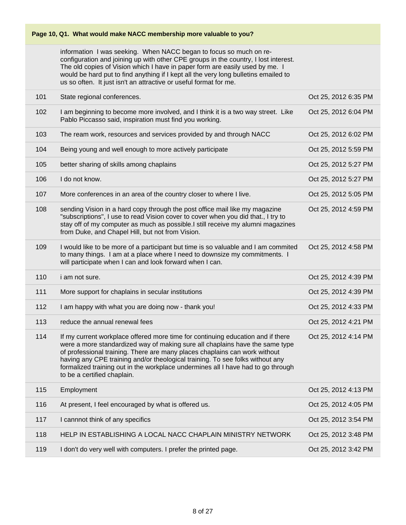information I was seeking. When NACC began to focus so much on reconfiguration and joining up with other CPE groups in the country, I lost interest. The old copies of Vision which I have in paper form are easily used by me. I would be hard put to find anything if I kept all the very long bulletins emailed to us so often. It just isn't an attractive or useful format for me.

| 101 | State regional conferences.                                                                                                                                                                                                                                                                                                                                                                                                                       | Oct 25, 2012 6:35 PM |
|-----|---------------------------------------------------------------------------------------------------------------------------------------------------------------------------------------------------------------------------------------------------------------------------------------------------------------------------------------------------------------------------------------------------------------------------------------------------|----------------------|
| 102 | I am beginning to become more involved, and I think it is a two way street. Like<br>Pablo Piccasso said, inspiration must find you working.                                                                                                                                                                                                                                                                                                       | Oct 25, 2012 6:04 PM |
| 103 | The ream work, resources and services provided by and through NACC                                                                                                                                                                                                                                                                                                                                                                                | Oct 25, 2012 6:02 PM |
| 104 | Being young and well enough to more actively participate                                                                                                                                                                                                                                                                                                                                                                                          | Oct 25, 2012 5:59 PM |
| 105 | better sharing of skills among chaplains                                                                                                                                                                                                                                                                                                                                                                                                          | Oct 25, 2012 5:27 PM |
| 106 | I do not know.                                                                                                                                                                                                                                                                                                                                                                                                                                    | Oct 25, 2012 5:27 PM |
| 107 | More conferences in an area of the country closer to where I live.                                                                                                                                                                                                                                                                                                                                                                                | Oct 25, 2012 5:05 PM |
| 108 | sending Vision in a hard copy through the post office mail like my magazine<br>"subscriptions", I use to read Vision cover to cover when you did that., I try to<br>stay off of my computer as much as possible.I still receive my alumni magazines<br>from Duke, and Chapel Hill, but not from Vision.                                                                                                                                           | Oct 25, 2012 4:59 PM |
| 109 | I would like to be more of a participant but time is so valuable and I am commited<br>to many things. I am at a place where I need to downsize my commitments. I<br>will participate when I can and look forward when I can.                                                                                                                                                                                                                      | Oct 25, 2012 4:58 PM |
|     |                                                                                                                                                                                                                                                                                                                                                                                                                                                   |                      |
| 110 | <i>i</i> am not sure.                                                                                                                                                                                                                                                                                                                                                                                                                             | Oct 25, 2012 4:39 PM |
| 111 | More support for chaplains in secular institutions                                                                                                                                                                                                                                                                                                                                                                                                | Oct 25, 2012 4:39 PM |
| 112 | I am happy with what you are doing now - thank you!                                                                                                                                                                                                                                                                                                                                                                                               | Oct 25, 2012 4:33 PM |
| 113 | reduce the annual renewal fees                                                                                                                                                                                                                                                                                                                                                                                                                    | Oct 25, 2012 4:21 PM |
| 114 | If my current workplace offered more time for continuing education and if there<br>were a more standardized way of making sure all chaplains have the same type<br>of professional training. There are many places chaplains can work without<br>having any CPE training and/or theological training. To see folks without any<br>formalized training out in the workplace undermines all I have had to go through<br>to be a certified chaplain. | Oct 25, 2012 4:14 PM |
| 115 | Employment                                                                                                                                                                                                                                                                                                                                                                                                                                        | Oct 25, 2012 4:13 PM |
| 116 | At present, I feel encouraged by what is offered us.                                                                                                                                                                                                                                                                                                                                                                                              | Oct 25, 2012 4:05 PM |
| 117 | I cannnot think of any specifics                                                                                                                                                                                                                                                                                                                                                                                                                  | Oct 25, 2012 3:54 PM |
| 118 | HELP IN ESTABLISHING A LOCAL NACC CHAPLAIN MINISTRY NETWORK                                                                                                                                                                                                                                                                                                                                                                                       | Oct 25, 2012 3:48 PM |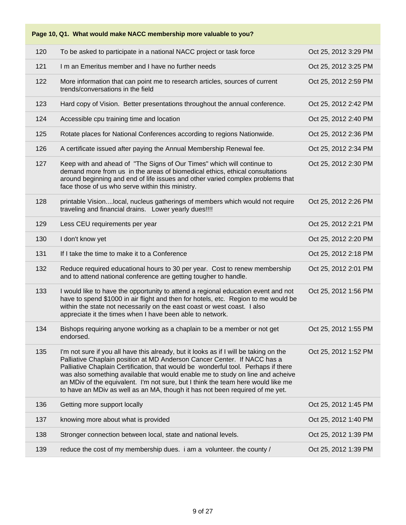|     | Page 10, Q1. What would make NACC membership more valuable to you?                                                                                                                                                                                                                                                                                                                                                                                                                                           |                      |
|-----|--------------------------------------------------------------------------------------------------------------------------------------------------------------------------------------------------------------------------------------------------------------------------------------------------------------------------------------------------------------------------------------------------------------------------------------------------------------------------------------------------------------|----------------------|
| 120 | To be asked to participate in a national NACC project or task force                                                                                                                                                                                                                                                                                                                                                                                                                                          | Oct 25, 2012 3:29 PM |
| 121 | I m an Emeritus member and I have no further needs                                                                                                                                                                                                                                                                                                                                                                                                                                                           | Oct 25, 2012 3:25 PM |
| 122 | More information that can point me to research articles, sources of current<br>trends/conversations in the field                                                                                                                                                                                                                                                                                                                                                                                             | Oct 25, 2012 2:59 PM |
| 123 | Hard copy of Vision. Better presentations throughout the annual conference.                                                                                                                                                                                                                                                                                                                                                                                                                                  | Oct 25, 2012 2:42 PM |
| 124 | Accessible cpu training time and location                                                                                                                                                                                                                                                                                                                                                                                                                                                                    | Oct 25, 2012 2:40 PM |
| 125 | Rotate places for National Conferences according to regions Nationwide.                                                                                                                                                                                                                                                                                                                                                                                                                                      | Oct 25, 2012 2:36 PM |
| 126 | A certificate issued after paying the Annual Membership Renewal fee.                                                                                                                                                                                                                                                                                                                                                                                                                                         | Oct 25, 2012 2:34 PM |
| 127 | Keep with and ahead of "The Signs of Our Times" which will continue to<br>demand more from us in the areas of biomedical ethics, ethical consultations<br>around beginning and end of life issues and other varied complex problems that<br>face those of us who serve within this ministry.                                                                                                                                                                                                                 | Oct 25, 2012 2:30 PM |
| 128 | printable Visionlocal, nucleus gatherings of members which would not require<br>traveling and financial drains. Lower yearly dues!!!!                                                                                                                                                                                                                                                                                                                                                                        | Oct 25, 2012 2:26 PM |
| 129 | Less CEU requirements per year                                                                                                                                                                                                                                                                                                                                                                                                                                                                               | Oct 25, 2012 2:21 PM |
| 130 | I don't know yet                                                                                                                                                                                                                                                                                                                                                                                                                                                                                             | Oct 25, 2012 2:20 PM |
| 131 | If I take the time to make it to a Conference                                                                                                                                                                                                                                                                                                                                                                                                                                                                | Oct 25, 2012 2:18 PM |
| 132 | Reduce required educational hours to 30 per year. Cost to renew membership<br>and to attend national conference are getting tougher to handle.                                                                                                                                                                                                                                                                                                                                                               | Oct 25, 2012 2:01 PM |
| 133 | I would like to have the opportunity to attend a regional education event and not<br>have to spend \$1000 in air flight and then for hotels, etc. Region to me would be<br>within the state not necessarily on the east coast or west coast. I also<br>appreciate it the times when I have been able to network.                                                                                                                                                                                             | Oct 25, 2012 1:56 PM |
| 134 | Bishops requiring anyone working as a chaplain to be a member or not get<br>endorsed.                                                                                                                                                                                                                                                                                                                                                                                                                        | Oct 25, 2012 1:55 PM |
| 135 | I'm not sure if you all have this already, but it looks as if I will be taking on the<br>Palliative Chaplain position at MD Anderson Cancer Center. If NACC has a<br>Palliative Chaplain Certification, that would be wonderful tool. Perhaps if there<br>was also something available that would enable me to study on line and acheive<br>an MDiv of the equivalent. I'm not sure, but I think the team here would like me<br>to have an MDiv as well as an MA, though it has not been required of me yet. | Oct 25, 2012 1:52 PM |
| 136 | Getting more support locally                                                                                                                                                                                                                                                                                                                                                                                                                                                                                 | Oct 25, 2012 1:45 PM |
| 137 | knowing more about what is provided                                                                                                                                                                                                                                                                                                                                                                                                                                                                          | Oct 25, 2012 1:40 PM |
| 138 | Stronger connection between local, state and national levels.                                                                                                                                                                                                                                                                                                                                                                                                                                                | Oct 25, 2012 1:39 PM |
| 139 | reduce the cost of my membership dues. i am a volunteer. the county /                                                                                                                                                                                                                                                                                                                                                                                                                                        | Oct 25, 2012 1:39 PM |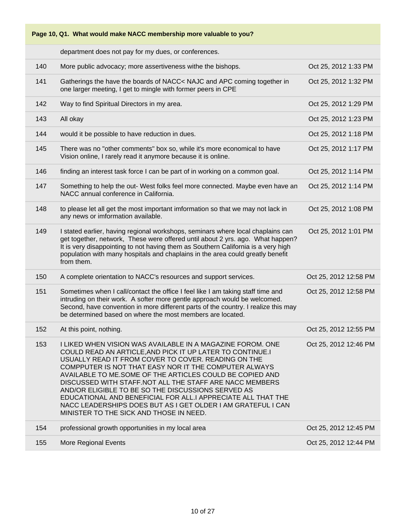

department does not pay for my dues, or conferences.

| 140 | More public advocacy; more assertiveness withe the bishops.                                                                                                                                                                                                                                                                                                                                                                                                                                                                                                                                     | Oct 25, 2012 1:33 PM  |
|-----|-------------------------------------------------------------------------------------------------------------------------------------------------------------------------------------------------------------------------------------------------------------------------------------------------------------------------------------------------------------------------------------------------------------------------------------------------------------------------------------------------------------------------------------------------------------------------------------------------|-----------------------|
| 141 | Gatherings the have the boards of NACC< NAJC and APC coming together in<br>one larger meeting, I get to mingle with former peers in CPE                                                                                                                                                                                                                                                                                                                                                                                                                                                         | Oct 25, 2012 1:32 PM  |
| 142 | Way to find Spiritual Directors in my area.                                                                                                                                                                                                                                                                                                                                                                                                                                                                                                                                                     | Oct 25, 2012 1:29 PM  |
| 143 | All okay                                                                                                                                                                                                                                                                                                                                                                                                                                                                                                                                                                                        | Oct 25, 2012 1:23 PM  |
| 144 | would it be possible to have reduction in dues.                                                                                                                                                                                                                                                                                                                                                                                                                                                                                                                                                 | Oct 25, 2012 1:18 PM  |
| 145 | There was no "other comments" box so, while it's more economical to have<br>Vision online, I rarely read it anymore because it is online.                                                                                                                                                                                                                                                                                                                                                                                                                                                       | Oct 25, 2012 1:17 PM  |
| 146 | finding an interest task force I can be part of in working on a common goal.                                                                                                                                                                                                                                                                                                                                                                                                                                                                                                                    | Oct 25, 2012 1:14 PM  |
| 147 | Something to help the out- West folks feel more connected. Maybe even have an<br>NACC annual conference in California.                                                                                                                                                                                                                                                                                                                                                                                                                                                                          | Oct 25, 2012 1:14 PM  |
| 148 | to please let all get the most important imformation so that we may not lack in<br>any news or imformation available.                                                                                                                                                                                                                                                                                                                                                                                                                                                                           | Oct 25, 2012 1:08 PM  |
| 149 | I stated earlier, having regional workshops, seminars where local chaplains can<br>get together, network, These were offered until about 2 yrs. ago. What happen?<br>It is very disappointing to not having them as Southern California is a very high<br>population with many hospitals and chaplains in the area could greatly benefit<br>from them.                                                                                                                                                                                                                                          | Oct 25, 2012 1:01 PM  |
| 150 | A complete orientation to NACC's resources and support services.                                                                                                                                                                                                                                                                                                                                                                                                                                                                                                                                | Oct 25, 2012 12:58 PM |
| 151 | Sometimes when I call/contact the office I feel like I am taking staff time and<br>intruding on their work. A softer more gentle approach would be welcomed.<br>Second, have convention in more different parts of the country. I realize this may<br>be determined based on where the most members are located.                                                                                                                                                                                                                                                                                | Oct 25, 2012 12:58 PM |
| 152 | At this point, nothing.                                                                                                                                                                                                                                                                                                                                                                                                                                                                                                                                                                         | Oct 25, 2012 12:55 PM |
| 153 | I LIKED WHEN VISION WAS AVAILABLE IN A MAGAZINE FOROM. ONE<br>COULD READ AN ARTICLE, AND PICK IT UP LATER TO CONTINUE.I<br>USUALLY READ IT FROM COVER TO COVER. READING ON THE<br>COMPPUTER IS NOT THAT EASY NOR IT THE COMPUTER ALWAYS<br>AVAILABLE TO ME.SOME OF THE ARTICLES COULD BE COPIED AND<br>DISCUSSED WITH STAFF.NOT ALL THE STAFF ARE NACC MEMBERS<br>AND/OR ELIGIBLE TO BE SO THE DISCUSSIONS SERVED AS<br>EDUCATIONAL AND BENEFICIAL FOR ALL.I APPRECIATE ALL THAT THE<br>NACC LEADERSHIPS DOES BUT AS I GET OLDER I AM GRATEFUL I CAN<br>MINISTER TO THE SICK AND THOSE IN NEED. | Oct 25, 2012 12:46 PM |
| 154 | professional growth opportunities in my local area                                                                                                                                                                                                                                                                                                                                                                                                                                                                                                                                              | Oct 25, 2012 12:45 PM |
| 155 | More Regional Events                                                                                                                                                                                                                                                                                                                                                                                                                                                                                                                                                                            | Oct 25, 2012 12:44 PM |
|     |                                                                                                                                                                                                                                                                                                                                                                                                                                                                                                                                                                                                 |                       |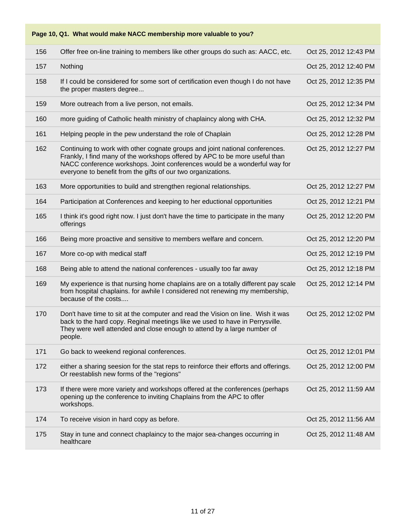**Page 10, Q1. What would make NACC membership more valuable to you?**

| 156 | Offer free on-line training to members like other groups do such as: AACC, etc.                                                                                                                                                                                                                          | Oct 25, 2012 12:43 PM |
|-----|----------------------------------------------------------------------------------------------------------------------------------------------------------------------------------------------------------------------------------------------------------------------------------------------------------|-----------------------|
| 157 | Nothing                                                                                                                                                                                                                                                                                                  | Oct 25, 2012 12:40 PM |
| 158 | If I could be considered for some sort of certification even though I do not have<br>the proper masters degree                                                                                                                                                                                           | Oct 25, 2012 12:35 PM |
| 159 | More outreach from a live person, not emails.                                                                                                                                                                                                                                                            | Oct 25, 2012 12:34 PM |
| 160 | more guiding of Catholic health ministry of chaplaincy along with CHA.                                                                                                                                                                                                                                   | Oct 25, 2012 12:32 PM |
| 161 | Helping people in the pew understand the role of Chaplain                                                                                                                                                                                                                                                | Oct 25, 2012 12:28 PM |
| 162 | Continuing to work with other cognate groups and joint national conferences.<br>Frankly, I find many of the workshops offered by APC to be more useful than<br>NACC conference workshops. Joint conferences would be a wonderful way for<br>everyone to benefit from the gifts of our two organizations. | Oct 25, 2012 12:27 PM |
| 163 | More opportunities to build and strengthen regional relationships.                                                                                                                                                                                                                                       | Oct 25, 2012 12:27 PM |
| 164 | Participation at Conferences and keeping to her eductional opportunities                                                                                                                                                                                                                                 | Oct 25, 2012 12:21 PM |
| 165 | I think it's good right now. I just don't have the time to participate in the many<br>offerings                                                                                                                                                                                                          | Oct 25, 2012 12:20 PM |
| 166 | Being more proactive and sensitive to members welfare and concern.                                                                                                                                                                                                                                       | Oct 25, 2012 12:20 PM |
|     |                                                                                                                                                                                                                                                                                                          |                       |
| 167 | More co-op with medical staff                                                                                                                                                                                                                                                                            | Oct 25, 2012 12:19 PM |
| 168 | Being able to attend the national conferences - usually too far away                                                                                                                                                                                                                                     | Oct 25, 2012 12:18 PM |
| 169 | My experience is that nursing home chaplains are on a totally different pay scale<br>from hospital chaplains. for awhile I considered not renewing my membership,<br>because of the costs                                                                                                                | Oct 25, 2012 12:14 PM |
| 170 | Don't have time to sit at the computer and read the Vision on line. Wish it was<br>back to the hard copy. Reginal meetings like we used to have in Perrysville.<br>They were well attended and close enough to attend by a large number of<br>people.                                                    | Oct 25, 2012 12:02 PM |
| 171 | Go back to weekend regional conferences.                                                                                                                                                                                                                                                                 | Oct 25, 2012 12:01 PM |
| 172 | either a sharing seesion for the stat reps to reinforce their efforts and offerings.<br>Or reestablish new forms of the "regions"                                                                                                                                                                        | Oct 25, 2012 12:00 PM |
| 173 | If there were more variety and workshops offered at the conferences (perhaps<br>opening up the conference to inviting Chaplains from the APC to offer<br>workshops.                                                                                                                                      | Oct 25, 2012 11:59 AM |
| 174 | To receive vision in hard copy as before.                                                                                                                                                                                                                                                                | Oct 25, 2012 11:56 AM |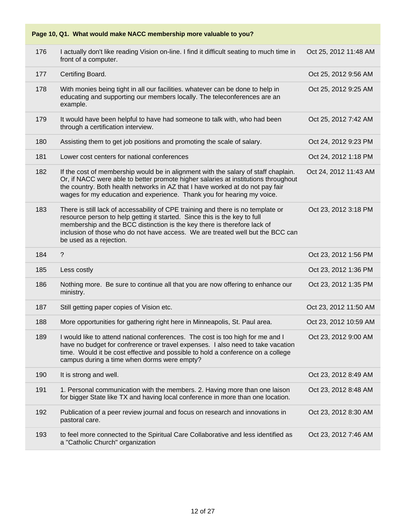**Page 10, Q1. What would make NACC membership more valuable to you?** 176 I actually don't like reading Vision on-line. I find it difficult seating to much time in front of a computer. Oct 25, 2012 11:48 AM 177 Certifing Board. Oct 25, 2012 9:56 AM 178 With monies being tight in all our facilities. whatever can be done to help in educating and supporting our members locally. The teleconferences are an example. Oct 25, 2012 9:25 AM 179 It would have been helpful to have had someone to talk with, who had been through a certification interview. Oct 25, 2012 7:42 AM 180 Assisting them to get job positions and promoting the scale of salary. Oct 24, 2012 9:23 PM 181 Lower cost centers for national conferences Oct 24, 2012 1:18 PM 182 If the cost of membership would be in alignment with the salary of staff chaplain. Or, if NACC were able to better promote higher salaries at institutions throughout the country. Both health networks in AZ that I have worked at do not pay fair wages for my education and experience. Thank you for hearing my voice. Oct 24, 2012 11:43 AM 183 There is still lack of accessability of CPE training and there is no template or resource person to help getting it started. Since this is the key to full membership and the BCC distinction is the key there is therefore lack of inclusion of those who do not have access. We are treated well but the BCC can be used as a rejection. Oct 23, 2012 3:18 PM 184 ? Oct 23, 2012 1:56 PM 185 Less costly Oct 23, 2012 1:36 PM 186 Nothing more. Be sure to continue all that you are now offering to enhance our ministry. Oct 23, 2012 1:35 PM 187 Still getting paper copies of Vision etc. Communication of Contract 23, 2012 11:50 AM 188 More opportunities for gathering right here in Minneapolis, St. Paul area. 0ct 23, 2012 10:59 AM 189 I would like to attend national conferences. The cost is too high for me and I have no budget for confrerence or travel expenses. I also need to take vacation time. Would it be cost effective and possible to hold a conference on a college campus during a time when dorms were empty? Oct 23, 2012 9:00 AM 190 It is strong and well. **Department of the Contract Contract Contract Contract Contract Contract Contract Contract Contract Contract Contract Contract Contract Contract Contract Contract Contract Contract Contract Contr** 191 1. Personal communication with the members. 2. Having more than one laison for bigger State like TX and having local conference in more than one location. Oct 23, 2012 8:48 AM 192 Publication of a peer review journal and focus on research and innovations in pastoral care. Oct 23, 2012 8:30 AM 193 to feel more connected to the Spiritual Care Collaborative and less identified as a "Catholic Church" organization Oct 23, 2012 7:46 AM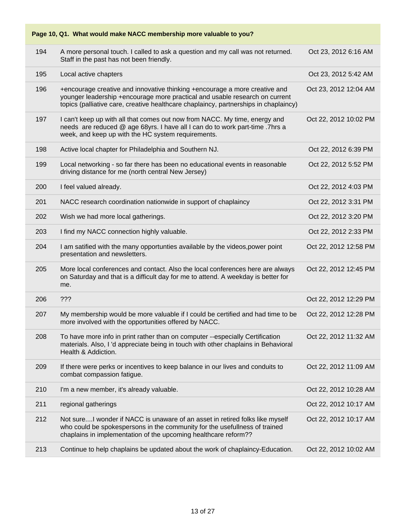| Page 10, Q1. What would make NACC membership more valuable to you? |                                                                                                                                                                                                                                                   |                       |  |
|--------------------------------------------------------------------|---------------------------------------------------------------------------------------------------------------------------------------------------------------------------------------------------------------------------------------------------|-----------------------|--|
| 194                                                                | A more personal touch. I called to ask a question and my call was not returned.<br>Staff in the past has not been friendly.                                                                                                                       | Oct 23, 2012 6:16 AM  |  |
| 195                                                                | Local active chapters                                                                                                                                                                                                                             | Oct 23, 2012 5:42 AM  |  |
| 196                                                                | +encourage creative and innovative thinking +encourage a more creative and<br>younger leadership +encourage more practical and usable research on current<br>topics (palliative care, creative healthcare chaplaincy, partnerships in chaplaincy) | Oct 23, 2012 12:04 AM |  |
| 197                                                                | I can't keep up with all that comes out now from NACC. My time, energy and<br>needs are reduced @ age 68yrs. I have all I can do to work part-time. 7hrs a<br>week, and keep up with the HC system requirements.                                  | Oct 22, 2012 10:02 PM |  |
| 198                                                                | Active local chapter for Philadelphia and Southern NJ.                                                                                                                                                                                            | Oct 22, 2012 6:39 PM  |  |
| 199                                                                | Local networking - so far there has been no educational events in reasonable<br>driving distance for me (north central New Jersey)                                                                                                                | Oct 22, 2012 5:52 PM  |  |
| 200                                                                | I feel valued already.                                                                                                                                                                                                                            | Oct 22, 2012 4:03 PM  |  |
| 201                                                                | NACC research coordination nationwide in support of chaplaincy                                                                                                                                                                                    | Oct 22, 2012 3:31 PM  |  |
| 202                                                                | Wish we had more local gatherings.                                                                                                                                                                                                                | Oct 22, 2012 3:20 PM  |  |
| 203                                                                | I find my NACC connection highly valuable.                                                                                                                                                                                                        | Oct 22, 2012 2:33 PM  |  |
| 204                                                                | I am satified with the many opportunties available by the videos, power point<br>presentation and newsletters.                                                                                                                                    | Oct 22, 2012 12:58 PM |  |
| 205                                                                | More local conferences and contact. Also the local conferences here are always<br>on Saturday and that is a difficult day for me to attend. A weekday is better for<br>me.                                                                        | Oct 22, 2012 12:45 PM |  |
| 206                                                                | ???                                                                                                                                                                                                                                               | Oct 22, 2012 12:29 PM |  |
| 207                                                                | My membership would be more valuable if I could be certified and had time to be<br>more involved with the opportunities offered by NACC.                                                                                                          | Oct 22, 2012 12:28 PM |  |
| 208                                                                | To have more info in print rather than on computer --especially Certification<br>materials. Also, I'd appreciate being in touch with other chaplains in Behavioral<br>Health & Addiction.                                                         | Oct 22, 2012 11:32 AM |  |
| 209                                                                | If there were perks or incentives to keep balance in our lives and conduits to<br>combat compassion fatigue.                                                                                                                                      | Oct 22, 2012 11:09 AM |  |
| 210                                                                | I'm a new member, it's already valuable.                                                                                                                                                                                                          | Oct 22, 2012 10:28 AM |  |
| 211                                                                | regional gatherings                                                                                                                                                                                                                               | Oct 22, 2012 10:17 AM |  |
| 212                                                                | Not sureI wonder if NACC is unaware of an asset in retired folks like myself<br>who could be spokespersons in the community for the usefullness of trained<br>chaplains in implementation of the upcoming healthcare reform??                     | Oct 22, 2012 10:17 AM |  |
| 213                                                                | Continue to help chaplains be updated about the work of chaplaincy-Education.                                                                                                                                                                     | Oct 22, 2012 10:02 AM |  |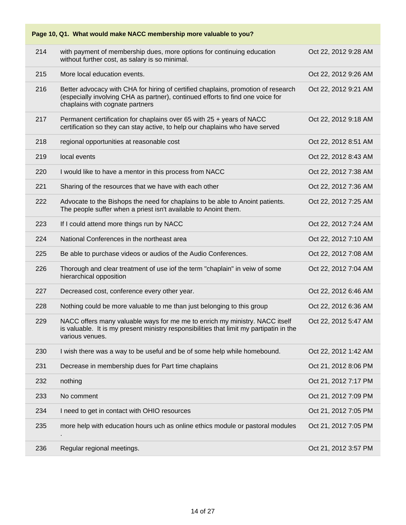| Page 10, Q1. What would make NACC membership more valuable to you? |                                                                                                                                                                                                        |                      |  |
|--------------------------------------------------------------------|--------------------------------------------------------------------------------------------------------------------------------------------------------------------------------------------------------|----------------------|--|
| 214                                                                | with payment of membership dues, more options for continuing education<br>without further cost, as salary is so minimal.                                                                               | Oct 22, 2012 9:28 AM |  |
| 215                                                                | More local education events.                                                                                                                                                                           | Oct 22, 2012 9:26 AM |  |
| 216                                                                | Better advocacy with CHA for hiring of certified chaplains, promotion of research<br>(especially involving CHA as partner), continued efforts to find one voice for<br>chaplains with cognate partners | Oct 22, 2012 9:21 AM |  |
| 217                                                                | Permanent certification for chaplains over 65 with 25 + years of NACC<br>certification so they can stay active, to help our chaplains who have served                                                  | Oct 22, 2012 9:18 AM |  |
| 218                                                                | regional opportunities at reasonable cost                                                                                                                                                              | Oct 22, 2012 8:51 AM |  |
| 219                                                                | local events                                                                                                                                                                                           | Oct 22, 2012 8:43 AM |  |
| 220                                                                | I would like to have a mentor in this process from NACC                                                                                                                                                | Oct 22, 2012 7:38 AM |  |
| 221                                                                | Sharing of the resources that we have with each other                                                                                                                                                  | Oct 22, 2012 7:36 AM |  |
| 222                                                                | Advocate to the Bishops the need for chaplains to be able to Anoint patients.<br>The people suffer when a priest isn't available to Anoint them.                                                       | Oct 22, 2012 7:25 AM |  |
| 223                                                                | If I could attend more things run by NACC                                                                                                                                                              | Oct 22, 2012 7:24 AM |  |
| 224                                                                | National Conferences in the northeast area                                                                                                                                                             | Oct 22, 2012 7:10 AM |  |
| 225                                                                | Be able to purchase videos or audios of the Audio Conferences.                                                                                                                                         | Oct 22, 2012 7:08 AM |  |
| 226                                                                | Thorough and clear treatment of use iof the term "chaplain" in veiw of some<br>hierarchical opposition                                                                                                 | Oct 22, 2012 7:04 AM |  |
| 227                                                                | Decreased cost, conference every other year.                                                                                                                                                           | Oct 22, 2012 6:46 AM |  |
| 228                                                                | Nothing could be more valuable to me than just belonging to this group                                                                                                                                 | Oct 22, 2012 6:36 AM |  |
| 229                                                                | NACC offers many valuable ways for me me to enrich my ministry. NACC itself<br>is valuable. It is my present ministry responsibilities that limit my partipatin in the<br>various venues.              | Oct 22, 2012 5:47 AM |  |
| 230                                                                | I wish there was a way to be useful and be of some help while homebound.                                                                                                                               | Oct 22, 2012 1:42 AM |  |
| 231                                                                | Decrease in membership dues for Part time chaplains                                                                                                                                                    | Oct 21, 2012 8:06 PM |  |
| 232                                                                | nothing                                                                                                                                                                                                | Oct 21, 2012 7:17 PM |  |
| 233                                                                | No comment                                                                                                                                                                                             | Oct 21, 2012 7:09 PM |  |
| 234                                                                | I need to get in contact with OHIO resources                                                                                                                                                           | Oct 21, 2012 7:05 PM |  |
| 235                                                                | more help with education hours uch as online ethics module or pastoral modules                                                                                                                         | Oct 21, 2012 7:05 PM |  |
| 236                                                                | Regular regional meetings.                                                                                                                                                                             | Oct 21, 2012 3:57 PM |  |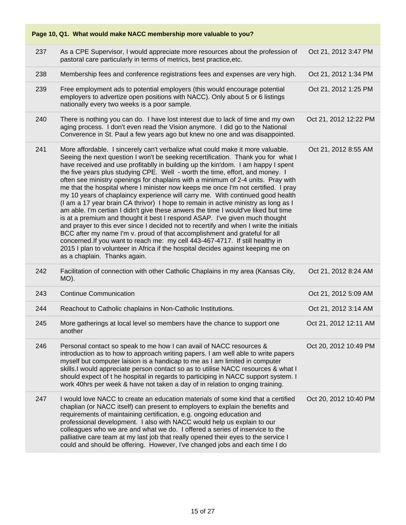**Page 10, Q1. What would make NACC membership more valuable to you?**

| 237 | As a CPE Supervisor, I would appreciate more resources about the profession of<br>pastoral care particularly in terms of metrics, best practice, etc.                                                                                                                                                                                                                                                                                                                                                                                                                                                                                                                                                                                                                                                                                                                                                                                                                                                                                                                                                                                                                                                                                       | Oct 21, 2012 3:47 PM  |
|-----|---------------------------------------------------------------------------------------------------------------------------------------------------------------------------------------------------------------------------------------------------------------------------------------------------------------------------------------------------------------------------------------------------------------------------------------------------------------------------------------------------------------------------------------------------------------------------------------------------------------------------------------------------------------------------------------------------------------------------------------------------------------------------------------------------------------------------------------------------------------------------------------------------------------------------------------------------------------------------------------------------------------------------------------------------------------------------------------------------------------------------------------------------------------------------------------------------------------------------------------------|-----------------------|
| 238 | Membership fees and conference registrations fees and expenses are very high.                                                                                                                                                                                                                                                                                                                                                                                                                                                                                                                                                                                                                                                                                                                                                                                                                                                                                                                                                                                                                                                                                                                                                               | Oct 21, 2012 1:34 PM  |
| 239 | Free employment ads to potential employers (this would encourage potential<br>employers to advertize open positions with NACC). Only about 5 or 6 listings<br>nationally every two weeks is a poor sample.                                                                                                                                                                                                                                                                                                                                                                                                                                                                                                                                                                                                                                                                                                                                                                                                                                                                                                                                                                                                                                  | Oct 21, 2012 1:25 PM  |
| 240 | There is nothing you can do. I have lost interest due to lack of time and my own<br>aging process. I don't even read the Vision anymore. I did go to the National<br>Converence in St. Paul a few years ago but knew no one and was disappointed.                                                                                                                                                                                                                                                                                                                                                                                                                                                                                                                                                                                                                                                                                                                                                                                                                                                                                                                                                                                           | Oct 21, 2012 12:22 PM |
| 241 | More affordable. I sincerely can't verbalize what could make it more valuable.<br>Seeing the next question I won't be seeking recertification. Thank you for what I<br>have received and use profitablly in building up the kin'dom. I am happy I spent<br>the five years plus studying CPE. Well - worth the time, effort, and money. I<br>often see ministry openings for chaplains with a minimum of 2-4 units. Pray with<br>me that the hospital where I minister now keeps me once I'm not certified. I pray<br>my 10 years of chaplaincy experience will carry me. With continued good health<br>(I am a 17 year brain CA thrivor) I hope to remain in active ministry as long as I<br>am able. I'm certian I didn't give these anwers the time I would've liked but time<br>is at a premium and thought it best I respond ASAP. I've given much thought<br>and prayer to this ever since I decided not to recertify and when I write the initials<br>BCC after my name I'm v. proud of that accomplishment and grateful for all<br>concerned. If you want to reach me: my cell 443-467-4717. If still healthy in<br>2015 I plan to volunteer in Africa if the hospital decides against keeping me on<br>as a chaplain. Thanks again. | Oct 21, 2012 8:55 AM  |
| 242 | Facilitation of connection with other Catholic Chaplains in my area (Kansas City,<br>MO).                                                                                                                                                                                                                                                                                                                                                                                                                                                                                                                                                                                                                                                                                                                                                                                                                                                                                                                                                                                                                                                                                                                                                   | Oct 21, 2012 8:24 AM  |
| 243 | <b>Continue Communication</b>                                                                                                                                                                                                                                                                                                                                                                                                                                                                                                                                                                                                                                                                                                                                                                                                                                                                                                                                                                                                                                                                                                                                                                                                               | Oct 21, 2012 5:09 AM  |
| 244 | Reachout to Catholic chaplains in Non-Catholic Institutions.                                                                                                                                                                                                                                                                                                                                                                                                                                                                                                                                                                                                                                                                                                                                                                                                                                                                                                                                                                                                                                                                                                                                                                                | Oct 21, 2012 3:14 AM  |
| 245 | More gatherings at local level so members have the chance to support one<br>another                                                                                                                                                                                                                                                                                                                                                                                                                                                                                                                                                                                                                                                                                                                                                                                                                                                                                                                                                                                                                                                                                                                                                         | Oct 21, 2012 12:11 AM |
| 246 | Personal contact so speak to me how I can avail of NACC resources &<br>introduction as to how to approach writing papers. I am well able to write papers<br>myself but computer laision is a handicap to me as I am limited in computer<br>skills.I would appreciate person contact so as to utilise NACC resources & what I<br>should expect of t he hospital in regards to participing in NACC support system. I<br>work 40hrs per week & have not taken a day of in relation to onging training.                                                                                                                                                                                                                                                                                                                                                                                                                                                                                                                                                                                                                                                                                                                                         | Oct 20, 2012 10:49 PM |
| 247 | I would love NACC to create an education materials of some kind that a certified<br>chaplian (or NACC itself) can present to employers to explain the benefits and<br>requirements of maintaining certification, e.g. ongoing education and<br>professional development. I also with NACC would help us explain to our<br>colleagues who we are and what we do. I offered a series of inservice to the<br>palliative care team at my last job that really opened their eyes to the service I<br>could and should be offering. However, I've changed jobs and each time I do                                                                                                                                                                                                                                                                                                                                                                                                                                                                                                                                                                                                                                                                 | Oct 20, 2012 10:40 PM |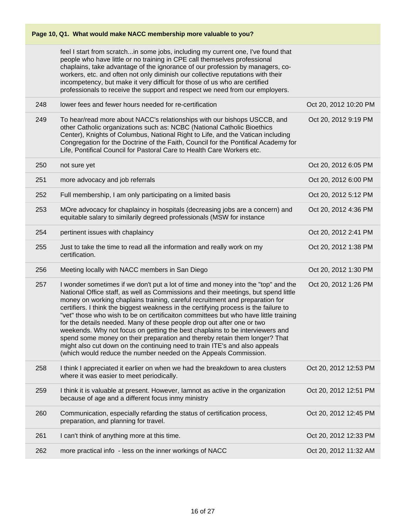|     | Page 10, Q1. What would make NACC membership more valuable to you?                                                                                                                                                                                                                                                                                                                                                                                                                                                                                                                                                                                                                                                                                                                                                               |                       |  |
|-----|----------------------------------------------------------------------------------------------------------------------------------------------------------------------------------------------------------------------------------------------------------------------------------------------------------------------------------------------------------------------------------------------------------------------------------------------------------------------------------------------------------------------------------------------------------------------------------------------------------------------------------------------------------------------------------------------------------------------------------------------------------------------------------------------------------------------------------|-----------------------|--|
|     | feel I start from scratchin some jobs, including my current one, I've found that<br>people who have little or no training in CPE call themselves professional<br>chaplains, take advantage of the ignorance of our profession by managers, co-<br>workers, etc. and often not only diminish our collective reputations with their<br>incompetency, but make it very difficult for those of us who are certified<br>professionals to receive the support and respect we need from our employers.                                                                                                                                                                                                                                                                                                                                  |                       |  |
| 248 | lower fees and fewer hours needed for re-certification                                                                                                                                                                                                                                                                                                                                                                                                                                                                                                                                                                                                                                                                                                                                                                           | Oct 20, 2012 10:20 PM |  |
| 249 | To hear/read more about NACC's relationships with our bishops USCCB, and<br>other Catholic organizations such as: NCBC (National Catholic Bioethics<br>Center), Knights of Columbus, National Right to Life, and the Vatican including<br>Congregation for the Doctrine of the Faith, Council for the Pontifical Academy for<br>Life, Pontifical Council for Pastoral Care to Health Care Workers etc.                                                                                                                                                                                                                                                                                                                                                                                                                           | Oct 20, 2012 9:19 PM  |  |
| 250 | not sure yet                                                                                                                                                                                                                                                                                                                                                                                                                                                                                                                                                                                                                                                                                                                                                                                                                     | Oct 20, 2012 6:05 PM  |  |
| 251 | more advocacy and job referrals                                                                                                                                                                                                                                                                                                                                                                                                                                                                                                                                                                                                                                                                                                                                                                                                  | Oct 20, 2012 6:00 PM  |  |
| 252 | Full membership, I am only participating on a limited basis                                                                                                                                                                                                                                                                                                                                                                                                                                                                                                                                                                                                                                                                                                                                                                      | Oct 20, 2012 5:12 PM  |  |
| 253 | MOre advocacy for chaplaincy in hospitals (decreasing jobs are a concern) and<br>equitable salary to similarily degreed professionals (MSW for instance                                                                                                                                                                                                                                                                                                                                                                                                                                                                                                                                                                                                                                                                          | Oct 20, 2012 4:36 PM  |  |
| 254 | pertinent issues with chaplaincy                                                                                                                                                                                                                                                                                                                                                                                                                                                                                                                                                                                                                                                                                                                                                                                                 | Oct 20, 2012 2:41 PM  |  |
| 255 | Just to take the time to read all the information and really work on my<br>certification.                                                                                                                                                                                                                                                                                                                                                                                                                                                                                                                                                                                                                                                                                                                                        | Oct 20, 2012 1:38 PM  |  |
| 256 | Meeting locally with NACC members in San Diego                                                                                                                                                                                                                                                                                                                                                                                                                                                                                                                                                                                                                                                                                                                                                                                   | Oct 20, 2012 1:30 PM  |  |
| 257 | I wonder sometimes if we don't put a lot of time and money into the "top" and the<br>National Office staff, as well as Commissions and their meetings, but spend little<br>money on working chaplains training, careful recruitment and preparation for<br>certifiers. I think the biggest weakness in the certifying process is the failure to<br>"vet" those who wish to be on certificaiton committees but who have little training<br>for the details needed. Many of these people drop out after one or two<br>weekends. Why not focus on getting the best chaplains to be interviewers and<br>spend some money on their preparation and thereby retain them longer? That<br>might also cut down on the continuing need to train ITE's and also appeals<br>(which would reduce the number needed on the Appeals Commission. | Oct 20, 2012 1:26 PM  |  |
| 258 | I think I appreciated it earlier on when we had the breakdown to area clusters<br>where it was easier to meet periodically.                                                                                                                                                                                                                                                                                                                                                                                                                                                                                                                                                                                                                                                                                                      | Oct 20, 2012 12:53 PM |  |
| 259 | I think it is valuable at present. However, lamnot as active in the organization<br>because of age and a different focus inmy ministry                                                                                                                                                                                                                                                                                                                                                                                                                                                                                                                                                                                                                                                                                           | Oct 20, 2012 12:51 PM |  |
| 260 | Communication, especially refarding the status of certification process,<br>preparation, and planning for travel.                                                                                                                                                                                                                                                                                                                                                                                                                                                                                                                                                                                                                                                                                                                | Oct 20, 2012 12:45 PM |  |
| 261 | I can't think of anything more at this time.                                                                                                                                                                                                                                                                                                                                                                                                                                                                                                                                                                                                                                                                                                                                                                                     | Oct 20, 2012 12:33 PM |  |
| 262 | more practical info - less on the inner workings of NACC                                                                                                                                                                                                                                                                                                                                                                                                                                                                                                                                                                                                                                                                                                                                                                         | Oct 20, 2012 11:32 AM |  |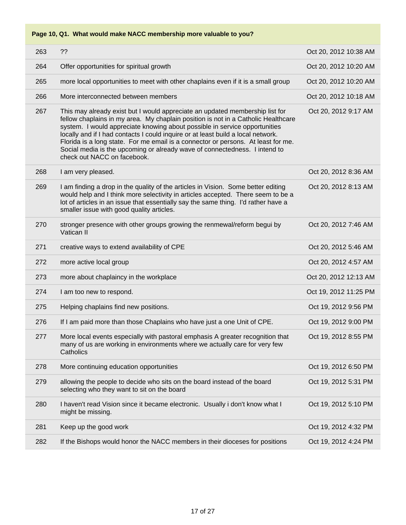**Page 10, Q1. What would make NACC membership more valuable to you?**

| 263 | ??                                                                                                                                                                                                                                                                                                                                                                                                                                                                                                                                    | Oct 20, 2012 10:38 AM |
|-----|---------------------------------------------------------------------------------------------------------------------------------------------------------------------------------------------------------------------------------------------------------------------------------------------------------------------------------------------------------------------------------------------------------------------------------------------------------------------------------------------------------------------------------------|-----------------------|
| 264 | Offer opportunities for spiritual growth                                                                                                                                                                                                                                                                                                                                                                                                                                                                                              | Oct 20, 2012 10:20 AM |
| 265 | more local opportunities to meet with other chaplains even if it is a small group                                                                                                                                                                                                                                                                                                                                                                                                                                                     | Oct 20, 2012 10:20 AM |
| 266 | More interconnected between members                                                                                                                                                                                                                                                                                                                                                                                                                                                                                                   | Oct 20, 2012 10:18 AM |
| 267 | This may already exist but I would appreciate an updated membership list for<br>fellow chaplains in my area. My chaplain position is not in a Catholic Healthcare<br>system. I would appreciate knowing about possible in service opportunities<br>locally and if I had contacts I could inquire or at least build a local network.<br>Florida is a long state. For me email is a connector or persons. At least for me.<br>Social media is the upcoming or already wave of connectedness. I intend to<br>check out NACC on facebook. | Oct 20, 2012 9:17 AM  |
| 268 | I am very pleased.                                                                                                                                                                                                                                                                                                                                                                                                                                                                                                                    | Oct 20, 2012 8:36 AM  |
| 269 | I am finding a drop in the quality of the articles in Vision. Some better editing<br>would help and I think more selectivity in articles accepted. There seem to be a<br>lot of articles in an issue that essentially say the same thing. I'd rather have a<br>smaller issue with good quality articles.                                                                                                                                                                                                                              | Oct 20, 2012 8:13 AM  |
| 270 | stronger presence with other groups growing the renmewal/reform begui by<br>Vatican II                                                                                                                                                                                                                                                                                                                                                                                                                                                | Oct 20, 2012 7:46 AM  |
| 271 | creative ways to extend availability of CPE                                                                                                                                                                                                                                                                                                                                                                                                                                                                                           | Oct 20, 2012 5:46 AM  |
| 272 | more active local group                                                                                                                                                                                                                                                                                                                                                                                                                                                                                                               | Oct 20, 2012 4:57 AM  |
| 273 | more about chaplaincy in the workplace                                                                                                                                                                                                                                                                                                                                                                                                                                                                                                | Oct 20, 2012 12:13 AM |
| 274 | I am too new to respond.                                                                                                                                                                                                                                                                                                                                                                                                                                                                                                              | Oct 19, 2012 11:25 PM |
| 275 | Helping chaplains find new positions.                                                                                                                                                                                                                                                                                                                                                                                                                                                                                                 | Oct 19, 2012 9:56 PM  |
| 276 | If I am paid more than those Chaplains who have just a one Unit of CPE.                                                                                                                                                                                                                                                                                                                                                                                                                                                               | Oct 19, 2012 9:00 PM  |
| 277 | More local events especially with pastoral emphasis A greater recognition that<br>many of us are working in environments where we actually care for very few<br>Catholics                                                                                                                                                                                                                                                                                                                                                             | Oct 19, 2012 8:55 PM  |
| 278 | More continuing education opportunities                                                                                                                                                                                                                                                                                                                                                                                                                                                                                               | Oct 19, 2012 6:50 PM  |
| 279 | allowing the people to decide who sits on the board instead of the board<br>selecting who they want to sit on the board                                                                                                                                                                                                                                                                                                                                                                                                               | Oct 19, 2012 5:31 PM  |
| 280 | I haven't read Vision since it became electronic. Usually i don't know what I<br>might be missing.                                                                                                                                                                                                                                                                                                                                                                                                                                    | Oct 19, 2012 5:10 PM  |
| 281 | Keep up the good work                                                                                                                                                                                                                                                                                                                                                                                                                                                                                                                 | Oct 19, 2012 4:32 PM  |
| 282 | If the Bishops would honor the NACC members in their dioceses for positions                                                                                                                                                                                                                                                                                                                                                                                                                                                           | Oct 19, 2012 4:24 PM  |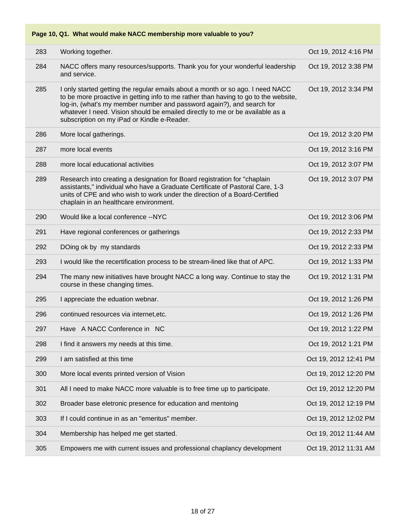|     | Page 10, Q1. What would make NACC membership more valuable to you?                                                                                                                                                                                                                                                                                                             |                       |
|-----|--------------------------------------------------------------------------------------------------------------------------------------------------------------------------------------------------------------------------------------------------------------------------------------------------------------------------------------------------------------------------------|-----------------------|
| 283 | Working together.                                                                                                                                                                                                                                                                                                                                                              | Oct 19, 2012 4:16 PM  |
| 284 | NACC offers many resources/supports. Thank you for your wonderful leadership<br>and service.                                                                                                                                                                                                                                                                                   | Oct 19, 2012 3:38 PM  |
| 285 | I only started getting the regular emails about a month or so ago. I need NACC<br>to be more proactive in getting info to me rather than having to go to the website,<br>log-in, (what's my member number and password again?), and search for<br>whatever I need. Vision should be emailed directly to me or be available as a<br>subscription on my iPad or Kindle e-Reader. | Oct 19, 2012 3:34 PM  |
| 286 | More local gatherings.                                                                                                                                                                                                                                                                                                                                                         | Oct 19, 2012 3:20 PM  |
| 287 | more local events                                                                                                                                                                                                                                                                                                                                                              | Oct 19, 2012 3:16 PM  |
| 288 | more local educational activities                                                                                                                                                                                                                                                                                                                                              | Oct 19, 2012 3:07 PM  |
| 289 | Research into creating a designation for Board registration for "chaplain"<br>assistants," individual who have a Graduate Certificate of Pastoral Care, 1-3<br>units of CPE and who wish to work under the direction of a Board-Certified<br>chaplain in an healthcare environment.                                                                                            | Oct 19, 2012 3:07 PM  |
| 290 | Would like a local conference -- NYC                                                                                                                                                                                                                                                                                                                                           | Oct 19, 2012 3:06 PM  |
| 291 | Have regional conferences or gatherings                                                                                                                                                                                                                                                                                                                                        | Oct 19, 2012 2:33 PM  |
| 292 | DOing ok by my standards                                                                                                                                                                                                                                                                                                                                                       | Oct 19, 2012 2:33 PM  |
| 293 | I would like the recertification process to be stream-lined like that of APC.                                                                                                                                                                                                                                                                                                  | Oct 19, 2012 1:33 PM  |
| 294 | The many new initiatives have brought NACC a long way. Continue to stay the<br>course in these changing times.                                                                                                                                                                                                                                                                 | Oct 19, 2012 1:31 PM  |
| 295 | I appreciate the eduation webnar.                                                                                                                                                                                                                                                                                                                                              | Oct 19, 2012 1:26 PM  |
| 296 | continued resources via internet, etc.                                                                                                                                                                                                                                                                                                                                         | Oct 19, 2012 1:26 PM  |
| 297 | Have A NACC Conference in NC                                                                                                                                                                                                                                                                                                                                                   | Oct 19, 2012 1:22 PM  |
| 298 | I find it answers my needs at this time.                                                                                                                                                                                                                                                                                                                                       | Oct 19, 2012 1:21 PM  |
| 299 | I am satisfied at this time                                                                                                                                                                                                                                                                                                                                                    | Oct 19, 2012 12:41 PM |
| 300 | More local events printed version of Vision                                                                                                                                                                                                                                                                                                                                    | Oct 19, 2012 12:20 PM |
| 301 | All I need to make NACC more valuable is to free time up to participate.                                                                                                                                                                                                                                                                                                       | Oct 19, 2012 12:20 PM |
| 302 | Broader base eletronic presence for education and mentoing                                                                                                                                                                                                                                                                                                                     | Oct 19, 2012 12:19 PM |
| 303 | If I could continue in as an "emeritus" member.                                                                                                                                                                                                                                                                                                                                | Oct 19, 2012 12:02 PM |
| 304 | Membership has helped me get started.                                                                                                                                                                                                                                                                                                                                          | Oct 19, 2012 11:44 AM |
| 305 | Empowers me with current issues and professional chaplancy development                                                                                                                                                                                                                                                                                                         | Oct 19, 2012 11:31 AM |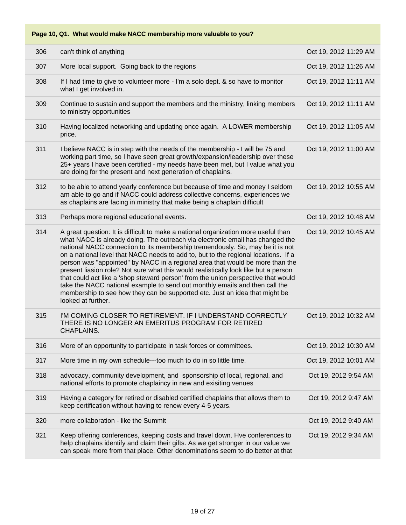**Page 10, Q1. What would make NACC membership more valuable to you?**

| 306 | can't think of anything                                                                                                                                                                                                                                                                                                                                                                                                                                                                                                                                                                                                                                                                                                                                                                     | Oct 19, 2012 11:29 AM |
|-----|---------------------------------------------------------------------------------------------------------------------------------------------------------------------------------------------------------------------------------------------------------------------------------------------------------------------------------------------------------------------------------------------------------------------------------------------------------------------------------------------------------------------------------------------------------------------------------------------------------------------------------------------------------------------------------------------------------------------------------------------------------------------------------------------|-----------------------|
| 307 | More local support. Going back to the regions                                                                                                                                                                                                                                                                                                                                                                                                                                                                                                                                                                                                                                                                                                                                               | Oct 19, 2012 11:26 AM |
| 308 | If I had time to give to volunteer more - I'm a solo dept. & so have to monitor<br>what I get involved in.                                                                                                                                                                                                                                                                                                                                                                                                                                                                                                                                                                                                                                                                                  | Oct 19, 2012 11:11 AM |
| 309 | Continue to sustain and support the members and the ministry, linking members<br>to ministry opportunities                                                                                                                                                                                                                                                                                                                                                                                                                                                                                                                                                                                                                                                                                  | Oct 19, 2012 11:11 AM |
| 310 | Having localized networking and updating once again. A LOWER membership<br>price.                                                                                                                                                                                                                                                                                                                                                                                                                                                                                                                                                                                                                                                                                                           | Oct 19, 2012 11:05 AM |
| 311 | I believe NACC is in step with the needs of the membership - I will be 75 and<br>working part time, so I have seen great growth/expansion/leadership over these<br>25+ years I have been certified - my needs have been met, but I value what you<br>are doing for the present and next generation of chaplains.                                                                                                                                                                                                                                                                                                                                                                                                                                                                            | Oct 19, 2012 11:00 AM |
| 312 | to be able to attend yearly conference but because of time and money I seldom<br>am able to go and if NACC could address collective concerns, experiences we<br>as chaplains are facing in ministry that make being a chaplain difficult                                                                                                                                                                                                                                                                                                                                                                                                                                                                                                                                                    | Oct 19, 2012 10:55 AM |
| 313 | Perhaps more regional educational events.                                                                                                                                                                                                                                                                                                                                                                                                                                                                                                                                                                                                                                                                                                                                                   | Oct 19, 2012 10:48 AM |
| 314 | A great question: It is difficult to make a national organization more useful than<br>what NACC is already doing. The outreach via electronic email has changed the<br>national NACC connection to its membership tremendously. So, may be it is not<br>on a national level that NACC needs to add to, but to the regional locations. If a<br>person was "appointed" by NACC in a regional area that would be more than the<br>present liasion role? Not sure what this would realistically look like but a person<br>that could act like a 'shop steward person' from the union perspective that would<br>take the NACC national example to send out monthly emails and then call the<br>membership to see how they can be supported etc. Just an idea that might be<br>looked at further. | Oct 19, 2012 10:45 AM |
| 315 | I'M COMING CLOSER TO RETIREMENT. IF I UNDERSTAND CORRECTLY<br>THERE IS NO LONGER AN EMERITUS PROGRAM FOR RETIRED<br>CHAPLAINS.                                                                                                                                                                                                                                                                                                                                                                                                                                                                                                                                                                                                                                                              | Oct 19, 2012 10:32 AM |
| 316 | More of an opportunity to participate in task forces or committees.                                                                                                                                                                                                                                                                                                                                                                                                                                                                                                                                                                                                                                                                                                                         | Oct 19, 2012 10:30 AM |
| 317 | More time in my own schedule---too much to do in so little time.                                                                                                                                                                                                                                                                                                                                                                                                                                                                                                                                                                                                                                                                                                                            | Oct 19, 2012 10:01 AM |
| 318 | advocacy, community development, and sponsorship of local, regional, and<br>national efforts to promote chaplaincy in new and exisiting venues                                                                                                                                                                                                                                                                                                                                                                                                                                                                                                                                                                                                                                              | Oct 19, 2012 9:54 AM  |
| 319 | Having a category for retired or disabled certified chaplains that allows them to<br>keep certification without having to renew every 4-5 years.                                                                                                                                                                                                                                                                                                                                                                                                                                                                                                                                                                                                                                            | Oct 19, 2012 9:47 AM  |
| 320 | more collaboration - like the Summit                                                                                                                                                                                                                                                                                                                                                                                                                                                                                                                                                                                                                                                                                                                                                        | Oct 19, 2012 9:40 AM  |
| 321 | Keep offering conferences, keeping costs and travel down. Hve conferences to<br>help chaplains identify and claim their gifts. As we get stronger in our value we<br>can speak more from that place. Other denominations seem to do better at that                                                                                                                                                                                                                                                                                                                                                                                                                                                                                                                                          | Oct 19, 2012 9:34 AM  |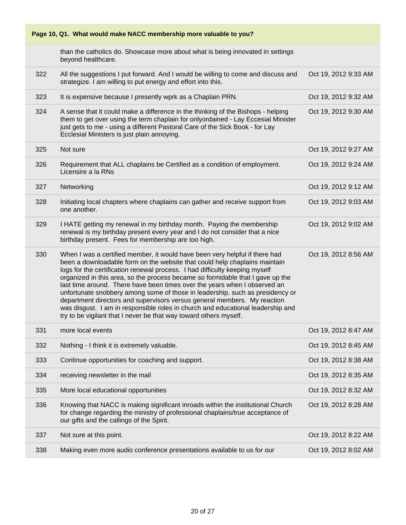| Page 10, Q1. What would make NACC membership more valuable to you? |                                                                                                                                                                                                                                                                                                                                                                                                                                                                                                                                                                                                                                                                                                                              |                      |  |
|--------------------------------------------------------------------|------------------------------------------------------------------------------------------------------------------------------------------------------------------------------------------------------------------------------------------------------------------------------------------------------------------------------------------------------------------------------------------------------------------------------------------------------------------------------------------------------------------------------------------------------------------------------------------------------------------------------------------------------------------------------------------------------------------------------|----------------------|--|
|                                                                    | than the catholics do. Showcase more about what is being innovated in settings<br>beyond healthcare.                                                                                                                                                                                                                                                                                                                                                                                                                                                                                                                                                                                                                         |                      |  |
| 322                                                                | All the suggestions I put forward. And I would be willing to come and discuss and<br>strategize. I am willing to put energy and effort into this.                                                                                                                                                                                                                                                                                                                                                                                                                                                                                                                                                                            | Oct 19, 2012 9:33 AM |  |
| 323                                                                | It is expensive because I presently wprk as a Chaplain PRN.                                                                                                                                                                                                                                                                                                                                                                                                                                                                                                                                                                                                                                                                  | Oct 19, 2012 9:32 AM |  |
| 324                                                                | A sense that it could make a difference in the thinking of the Bishops - helping<br>them to get over using the term chaplain for onlyordained - Lay Eccesial Minister<br>just gets to me - using a different Pastoral Care of the Sick Book - for Lay<br>Ecclesial Ministers is just plain annoying.                                                                                                                                                                                                                                                                                                                                                                                                                         | Oct 19, 2012 9:30 AM |  |
| 325                                                                | Not sure                                                                                                                                                                                                                                                                                                                                                                                                                                                                                                                                                                                                                                                                                                                     | Oct 19, 2012 9:27 AM |  |
| 326                                                                | Requirement that ALL chaplains be Certified as a condition of employment.<br>Licensire a la RNs                                                                                                                                                                                                                                                                                                                                                                                                                                                                                                                                                                                                                              | Oct 19, 2012 9:24 AM |  |
| 327                                                                | Networking                                                                                                                                                                                                                                                                                                                                                                                                                                                                                                                                                                                                                                                                                                                   | Oct 19, 2012 9:12 AM |  |
| 328                                                                | Initiating local chapters where chaplains can gather and receive support from<br>one another.                                                                                                                                                                                                                                                                                                                                                                                                                                                                                                                                                                                                                                | Oct 19, 2012 9:03 AM |  |
| 329                                                                | I HATE getting my renewal in my birthday month. Paying the membership<br>renewal is my birthday present every year and I do not consider that a nice<br>birthday present. Fees for membership are too high.                                                                                                                                                                                                                                                                                                                                                                                                                                                                                                                  | Oct 19, 2012 9:02 AM |  |
| 330                                                                | When I was a certified member, it would have been very helpful if there had<br>been a downloadable form on the website that could help chaplains maintain<br>logs for the certification renewal process. I had difficulty keeping myself<br>organized in this area, so the process became so formidable that I gave up the<br>last time around. There have been times over the years when I observed an<br>unfortunate snobbery among some of those in leadership, such as presidency or<br>department directors and supervisors versus general members. My reaction<br>was disgust. I am in responsible roles in church and educational leadership and<br>try to be vigilant that I never be that way toward others myself. | Oct 19, 2012 8:56 AM |  |
| 331                                                                | more local events                                                                                                                                                                                                                                                                                                                                                                                                                                                                                                                                                                                                                                                                                                            | Oct 19, 2012 8:47 AM |  |
| 332                                                                | Nothing - I think it is extremely valuable.                                                                                                                                                                                                                                                                                                                                                                                                                                                                                                                                                                                                                                                                                  | Oct 19, 2012 8:45 AM |  |
| 333                                                                | Continue opportunities for coaching and support.                                                                                                                                                                                                                                                                                                                                                                                                                                                                                                                                                                                                                                                                             | Oct 19, 2012 8:38 AM |  |
| 334                                                                | receiving newsletter in the mail                                                                                                                                                                                                                                                                                                                                                                                                                                                                                                                                                                                                                                                                                             | Oct 19, 2012 8:35 AM |  |
| 335                                                                | More local educational opportunities                                                                                                                                                                                                                                                                                                                                                                                                                                                                                                                                                                                                                                                                                         | Oct 19, 2012 8:32 AM |  |
| 336                                                                | Knowing that NACC is making significant inroads within the institutional Church<br>for change regarding the ministry of professional chaplains/true acceptance of<br>our gifts and the callings of the Spirit.                                                                                                                                                                                                                                                                                                                                                                                                                                                                                                               | Oct 19, 2012 8:28 AM |  |
| 337                                                                | Not sure at this point.                                                                                                                                                                                                                                                                                                                                                                                                                                                                                                                                                                                                                                                                                                      | Oct 19, 2012 8:22 AM |  |
| 338                                                                | Making even more audio conference presentations available to us for our                                                                                                                                                                                                                                                                                                                                                                                                                                                                                                                                                                                                                                                      | Oct 19, 2012 8:02 AM |  |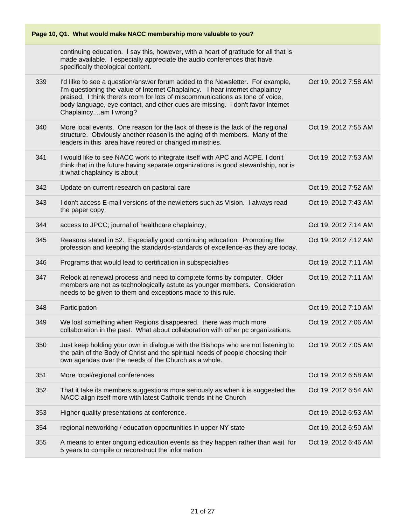|     | Page 10, Q1. What would make NACC membership more valuable to you?                                                                                                                                                                                                                                                                                         |                      |  |  |
|-----|------------------------------------------------------------------------------------------------------------------------------------------------------------------------------------------------------------------------------------------------------------------------------------------------------------------------------------------------------------|----------------------|--|--|
|     | continuing education. I say this, however, with a heart of gratitude for all that is<br>made available. I especially appreciate the audio conferences that have<br>specifically theological content.                                                                                                                                                       |                      |  |  |
| 339 | I'd lilke to see a question/answer forum added to the Newsletter. For example,<br>I'm questioning the value of Internet Chaplaincy. I hear internet chaplaincy<br>praised. I think there's room for lots of miscommunications as tone of voice,<br>body language, eye contact, and other cues are missing. I don't favor Internet<br>Chaplaincyam I wrong? | Oct 19, 2012 7:58 AM |  |  |
| 340 | More local events. One reason for the lack of these is the lack of the regional<br>structure. Obviously another reason is the aging of th members. Many of the<br>leaders in this area have retired or changed ministries.                                                                                                                                 | Oct 19, 2012 7:55 AM |  |  |
| 341 | I would like to see NACC work to integrate itself with APC and ACPE. I don't<br>think that in the future having separate organizations is good stewardship, nor is<br>it what chaplaincy is about                                                                                                                                                          | Oct 19, 2012 7:53 AM |  |  |
| 342 | Update on current research on pastoral care                                                                                                                                                                                                                                                                                                                | Oct 19, 2012 7:52 AM |  |  |
| 343 | I don't access E-mail versions of the newletters such as Vision. I always read<br>the paper copy.                                                                                                                                                                                                                                                          | Oct 19, 2012 7:43 AM |  |  |
| 344 | access to JPCC; journal of healthcare chaplaincy;                                                                                                                                                                                                                                                                                                          | Oct 19, 2012 7:14 AM |  |  |
| 345 | Reasons stated in 52. Especially good continuing education. Promoting the<br>profession and keeping the standards-standards of excellence-as they are today.                                                                                                                                                                                               | Oct 19, 2012 7:12 AM |  |  |
| 346 | Programs that would lead to certification in subspecialties                                                                                                                                                                                                                                                                                                | Oct 19, 2012 7:11 AM |  |  |
| 347 | Relook at renewal process and need to comp; ete forms by computer, Older<br>members are not as technologically astute as younger members. Consideration<br>needs to be given to them and exceptions made to this rule.                                                                                                                                     | Oct 19, 2012 7:11 AM |  |  |
| 348 | Participation                                                                                                                                                                                                                                                                                                                                              | Oct 19, 2012 7:10 AM |  |  |
| 349 | We lost something when Regions disappeared. there was much more<br>collaboration in the past. What about collaboration with other pc organizations.                                                                                                                                                                                                        | Oct 19, 2012 7:06 AM |  |  |
| 350 | Just keep holding your own in dialogue with the Bishops who are not listening to<br>the pain of the Body of Christ and the spiritual needs of people choosing their<br>own agendas over the needs of the Church as a whole.                                                                                                                                | Oct 19, 2012 7:05 AM |  |  |
| 351 | More local/regional conferences                                                                                                                                                                                                                                                                                                                            | Oct 19, 2012 6:58 AM |  |  |
| 352 | That it take its members suggestions more seriously as when it is suggested the<br>NACC align itself more with latest Catholic trends int he Church                                                                                                                                                                                                        | Oct 19, 2012 6:54 AM |  |  |
| 353 | Higher quality presentations at conference.                                                                                                                                                                                                                                                                                                                | Oct 19, 2012 6:53 AM |  |  |
| 354 | regional networking / education opportunities in upper NY state                                                                                                                                                                                                                                                                                            | Oct 19, 2012 6:50 AM |  |  |
| 355 | A means to enter ongoing edicaution events as they happen rather than wait for<br>5 years to compile or reconstruct the information.                                                                                                                                                                                                                       | Oct 19, 2012 6:46 AM |  |  |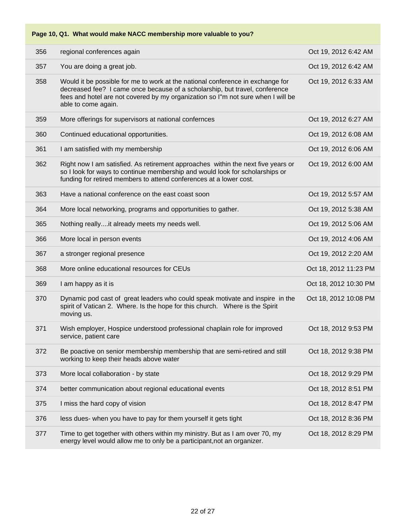**Page 10, Q1. What would make NACC membership more valuable to you?**

| 356 | regional conferences again                                                                                                                                                                                                                                               | Oct 19, 2012 6:42 AM  |
|-----|--------------------------------------------------------------------------------------------------------------------------------------------------------------------------------------------------------------------------------------------------------------------------|-----------------------|
| 357 | You are doing a great job.                                                                                                                                                                                                                                               | Oct 19, 2012 6:42 AM  |
| 358 | Would it be possible for me to work at the national conference in exchange for<br>decreased fee? I came once because of a scholarship, but travel, conference<br>fees and hotel are not covered by my organization so I"m not sure when I will be<br>able to come again. | Oct 19, 2012 6:33 AM  |
| 359 | More offerings for supervisors at national confernces                                                                                                                                                                                                                    | Oct 19, 2012 6:27 AM  |
| 360 | Continued educational opportunities.                                                                                                                                                                                                                                     | Oct 19, 2012 6:08 AM  |
| 361 | I am satisfied with my membership                                                                                                                                                                                                                                        | Oct 19, 2012 6:06 AM  |
| 362 | Right now I am satisfied. As retirement approaches within the next five years or<br>so I look for ways to continue membership and would look for scholarships or<br>funding for retired members to attend conferences at a lower cost.                                   | Oct 19, 2012 6:00 AM  |
| 363 | Have a national conference on the east coast soon                                                                                                                                                                                                                        | Oct 19, 2012 5:57 AM  |
| 364 | More local networking, programs and opportunities to gather.                                                                                                                                                                                                             | Oct 19, 2012 5:38 AM  |
| 365 | Nothing reallyit already meets my needs well.                                                                                                                                                                                                                            | Oct 19, 2012 5:06 AM  |
| 366 | More local in person events                                                                                                                                                                                                                                              | Oct 19, 2012 4:06 AM  |
| 367 | a stronger regional presence                                                                                                                                                                                                                                             | Oct 19, 2012 2:20 AM  |
| 368 | More online educational resources for CEUs                                                                                                                                                                                                                               | Oct 18, 2012 11:23 PM |
| 369 | I am happy as it is                                                                                                                                                                                                                                                      | Oct 18, 2012 10:30 PM |
| 370 | Dynamic pod cast of great leaders who could speak motivate and inspire in the<br>spirit of Vatican 2. Where. Is the hope for this church. Where is the Spirit<br>moving us.                                                                                              | Oct 18, 2012 10:08 PM |
| 371 | Wish employer, Hospice understood professional chaplain role for improved<br>service, patient care                                                                                                                                                                       | Oct 18, 2012 9:53 PM  |
| 372 | Be poactive on senior membership membership that are semi-retired and still<br>working to keep their heads above water                                                                                                                                                   | Oct 18, 2012 9:38 PM  |
| 373 | More local collaboration - by state                                                                                                                                                                                                                                      | Oct 18, 2012 9:29 PM  |
| 374 | better communication about regional educational events                                                                                                                                                                                                                   | Oct 18, 2012 8:51 PM  |
| 375 | I miss the hard copy of vision                                                                                                                                                                                                                                           | Oct 18, 2012 8:47 PM  |
| 376 | less dues- when you have to pay for them yourself it gets tight                                                                                                                                                                                                          | Oct 18, 2012 8:36 PM  |
| 377 | Time to get together with others within my ministry. But as I am over 70, my<br>energy level would allow me to only be a participant, not an organizer.                                                                                                                  | Oct 18, 2012 8:29 PM  |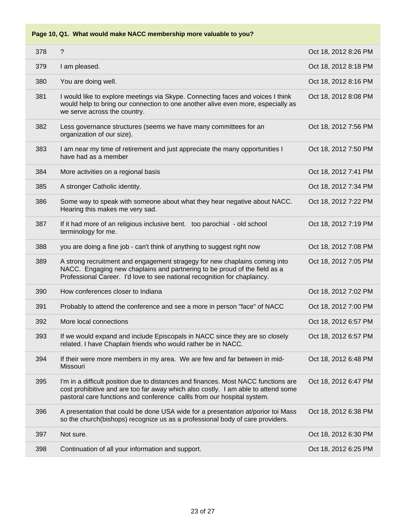| 378 | ?                                                                                                                                                                                                                                                  | Oct 18, 2012 8:26 PM |
|-----|----------------------------------------------------------------------------------------------------------------------------------------------------------------------------------------------------------------------------------------------------|----------------------|
| 379 | I am pleased.                                                                                                                                                                                                                                      | Oct 18, 2012 8:18 PM |
| 380 | You are doing well.                                                                                                                                                                                                                                | Oct 18, 2012 8:16 PM |
| 381 | I would like to explore meetings via Skype. Connecting faces and voices I think<br>would help to bring our connection to one another alive even more, especially as<br>we serve across the country.                                                | Oct 18, 2012 8:08 PM |
| 382 | Less governance structures (seems we have many committees for an<br>organization of our size).                                                                                                                                                     | Oct 18, 2012 7:56 PM |
| 383 | I am near my time of retirement and just appreciate the many opportunities I<br>have had as a member                                                                                                                                               | Oct 18, 2012 7:50 PM |
| 384 | More activities on a regional basis                                                                                                                                                                                                                | Oct 18, 2012 7:41 PM |
| 385 | A stronger Catholic identity.                                                                                                                                                                                                                      | Oct 18, 2012 7:34 PM |
| 386 | Some way to speak with someone about what they hear negative about NACC.<br>Hearing this makes me very sad.                                                                                                                                        | Oct 18, 2012 7:22 PM |
| 387 | If it had more of an religious inclusive bent. too parochial - old school<br>terminology for me.                                                                                                                                                   | Oct 18, 2012 7:19 PM |
| 388 | you are doing a fine job - can't think of anything to suggest right now                                                                                                                                                                            | Oct 18, 2012 7:08 PM |
| 389 | A strong recruitment and engagement stragegy for new chaplains coming into<br>NACC. Engaging new chaplains and partnering to be proud of the field as a<br>Professional Career. I'd love to see national recognition for chaplaincy.               | Oct 18, 2012 7:05 PM |
| 390 | How conferences closer to Indiana                                                                                                                                                                                                                  | Oct 18, 2012 7:02 PM |
| 391 | Probably to attend the conference and see a more in person "face" of NACC                                                                                                                                                                          | Oct 18, 2012 7:00 PM |
| 392 | More local connections                                                                                                                                                                                                                             | Oct 18, 2012 6:57 PM |
| 393 | If we would expand and include Episcopals in NACC since they are so closely<br>related. I have Chaplain friends who would rather be in NACC.                                                                                                       | Oct 18, 2012 6:57 PM |
| 394 | If their were more members in my area. We are few and far between in mid-<br>Missouri                                                                                                                                                              | Oct 18, 2012 6:48 PM |
| 395 | I'm in a difficult position due to distances and finances. Most NACC functions are<br>cost prohibitive and are too far away which also costly. I am able to attend some<br>pastoral care functions and conference callls from our hospital system. | Oct 18, 2012 6:47 PM |
| 396 | A presentation that could be done USA wide for a presentation at/porior toi Mass<br>so the church(bishops) recognize us as a professional body of care providers.                                                                                  | Oct 18, 2012 6:38 PM |
| 397 | Not sure.                                                                                                                                                                                                                                          | Oct 18, 2012 6:30 PM |
| 398 | Continuation of all your information and support.                                                                                                                                                                                                  | Oct 18, 2012 6:25 PM |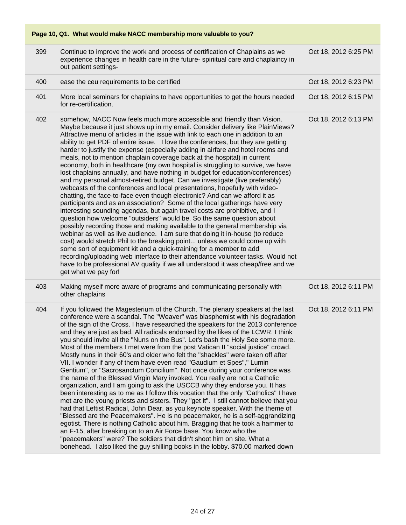| 399 | Continue to improve the work and process of certification of Chaplains as we<br>experience changes in health care in the future-spiriitual care and chaplaincy in<br>out patient settings-                                                                                                                                                                                                                                                                                                                                                                                                                                                                                                                                                                                                                                                                                                                                                                                                                                                                                                                                                                                                                                                                                                                                                                                                                                                                                                                                                                                                                                                                                 | Oct 18, 2012 6:25 PM |
|-----|----------------------------------------------------------------------------------------------------------------------------------------------------------------------------------------------------------------------------------------------------------------------------------------------------------------------------------------------------------------------------------------------------------------------------------------------------------------------------------------------------------------------------------------------------------------------------------------------------------------------------------------------------------------------------------------------------------------------------------------------------------------------------------------------------------------------------------------------------------------------------------------------------------------------------------------------------------------------------------------------------------------------------------------------------------------------------------------------------------------------------------------------------------------------------------------------------------------------------------------------------------------------------------------------------------------------------------------------------------------------------------------------------------------------------------------------------------------------------------------------------------------------------------------------------------------------------------------------------------------------------------------------------------------------------|----------------------|
| 400 | ease the ceu requirements to be certified                                                                                                                                                                                                                                                                                                                                                                                                                                                                                                                                                                                                                                                                                                                                                                                                                                                                                                                                                                                                                                                                                                                                                                                                                                                                                                                                                                                                                                                                                                                                                                                                                                  | Oct 18, 2012 6:23 PM |
| 401 | More local seminars for chaplains to have opportunities to get the hours needed<br>for re-certification.                                                                                                                                                                                                                                                                                                                                                                                                                                                                                                                                                                                                                                                                                                                                                                                                                                                                                                                                                                                                                                                                                                                                                                                                                                                                                                                                                                                                                                                                                                                                                                   | Oct 18, 2012 6:15 PM |
| 402 | somehow, NACC Now feels much more accessible and friendly than Vision.<br>Maybe because it just shows up in my email. Consider delivery like PlainViews?<br>Attractive menu of articles in the issue with link to each one in addition to an<br>ability to get PDF of entire issue. I love the conferences, but they are getting<br>harder to justify the expense (especially adding in airfare and hotel rooms and<br>meals, not to mention chaplain coverage back at the hospital) in current<br>economy, both in healthcare (my own hospital is struggling to survive, we have<br>lost chaplains annually, and have nothing in budget for education/conferences)<br>and my personal almost-retired budget. Can we investigate (live preferably)<br>webcasts of the conferences and local presentations, hopefully with video-<br>chatting, the face-to-face even though electronic? And can we afford it as<br>participants and as an association? Some of the local gatherings have very<br>interesting sounding agendas, but again travel costs are prohibitive, and I<br>question how welcome "outsiders" would be. So the same question about<br>possibly recording those and making available to the general membership via<br>webinar as well as live audience. I am sure that doing it in-house (to reduce<br>cost) would stretch Phil to the breaking point unless we could come up with<br>some sort of equipment kit and a quick-training for a member to add<br>recording/uploading web interface to their attendance volunteer tasks. Would not<br>have to be professional AV quality if we all understood it was cheap/free and we<br>get what we pay for! | Oct 18, 2012 6:13 PM |
| 403 | Making myself more aware of programs and communicating personally with<br>other chaplains                                                                                                                                                                                                                                                                                                                                                                                                                                                                                                                                                                                                                                                                                                                                                                                                                                                                                                                                                                                                                                                                                                                                                                                                                                                                                                                                                                                                                                                                                                                                                                                  | Oct 18, 2012 6:11 PM |
| 404 | If you followed the Magesterium of the Church. The plenary speakers at the last<br>conference were a scandal. The "Weaver" was blasphemist with his degradation<br>of the sign of the Cross. I have researched the speakers for the 2013 conference<br>and they are just as bad. All radicals endorsed by the likes of the LCWR. I think<br>you should invite all the "Nuns on the Bus". Let's bash the Holy See some more.<br>Most of the members I met were from the post Vatican II "social justice" crowd.<br>Mostly nuns in their 60's and older who felt the "shackles" were taken off after<br>VII. I wonder if any of them have even read "Gaudium et Spes"," Lumin<br>Gentium", or "Sacrosanctum Concilium". Not once during your conference was<br>the name of the Blessed Virgin Mary invoked. You really are not a Catholic<br>organization, and I am going to ask the USCCB why they endorse you. It has<br>been interesting as to me as I follow this vocation that the only "Catholics" I have<br>met are the young priests and sisters. They "get it". I still cannot believe that you<br>had that Leftist Radical, John Dear, as you keynote speaker. With the theme of<br>"Blessed are the Peacemakers". He is no peacemaker, he is a self-aggrandizing<br>egotist. There is nothing Catholic about him. Bragging that he took a hammer to<br>an F-15, after breaking on to an Air Force base. You know who the<br>"peacemakers" were? The soldiers that didn't shoot him on site. What a<br>bonehead. I also liked the guy shilling books in the lobby. \$70.00 marked down                                                                             | Oct 18, 2012 6:11 PM |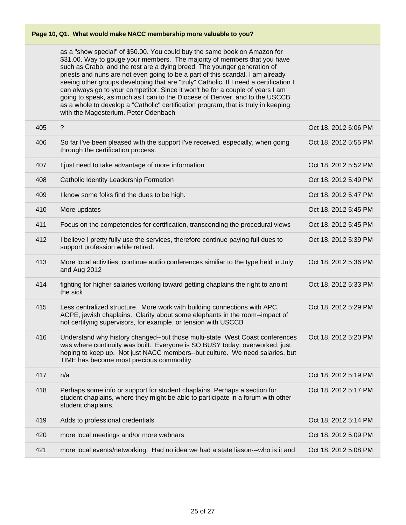as a "show special" of \$50.00. You could buy the same book on Amazon for \$31.00. Way to gouge your members. The majority of members that you have such as Crabb, and the rest are a dying breed. The younger generation of priests and nuns are not even going to be a part of this scandal. I am already seeing other groups developing that are "truly" Catholic. If I need a certification I can always go to your competitor. Since it won't be for a couple of years I am going to speak, as much as I can to the Diocese of Denver, and to the USCCB as a whole to develop a "Catholic" certification program, that is truly in keeping with the Magesterium. Peter Odenbach

| 405 | $\gamma$                                                                                                                                                                                                                                                                                | Oct 18, 2012 6:06 PM |
|-----|-----------------------------------------------------------------------------------------------------------------------------------------------------------------------------------------------------------------------------------------------------------------------------------------|----------------------|
| 406 | So far I've been pleased with the support I've received, especially, when going<br>through the certification process.                                                                                                                                                                   | Oct 18, 2012 5:55 PM |
| 407 | I just need to take advantage of more information                                                                                                                                                                                                                                       | Oct 18, 2012 5:52 PM |
| 408 | Catholic Identity Leadership Formation                                                                                                                                                                                                                                                  | Oct 18, 2012 5:49 PM |
| 409 | I know some folks find the dues to be high.                                                                                                                                                                                                                                             | Oct 18, 2012 5:47 PM |
| 410 | More updates                                                                                                                                                                                                                                                                            | Oct 18, 2012 5:45 PM |
| 411 | Focus on the competencies for certification, transcending the procedural views                                                                                                                                                                                                          | Oct 18, 2012 5:45 PM |
| 412 | I believe I pretty fully use the services, therefore continue paying full dues to<br>support profession while retired.                                                                                                                                                                  | Oct 18, 2012 5:39 PM |
| 413 | More local activities; continue audio conferences similiar to the type held in July<br>and Aug 2012                                                                                                                                                                                     | Oct 18, 2012 5:36 PM |
| 414 | fighting for higher salaries working toward getting chaplains the right to anoint<br>the sick                                                                                                                                                                                           | Oct 18, 2012 5:33 PM |
| 415 | Less centralized structure. More work with building connections with APC,<br>ACPE, jewish chaplains. Clarity about some elephants in the room--impact of<br>not certifying supervisors, for example, or tension with USCCB                                                              | Oct 18, 2012 5:29 PM |
| 416 | Understand why history changed--but those multi-state West Coast conferences<br>was where continuity was built. Everyone is SO BUSY today; overworked; just<br>hoping to keep up. Not just NACC members--but culture. We need salaries, but<br>TIME has become most precious commodity. | Oct 18, 2012 5:20 PM |
| 417 | n/a                                                                                                                                                                                                                                                                                     | Oct 18, 2012 5:19 PM |
| 418 | Perhaps some info or support for student chaplains. Perhaps a section for<br>student chaplains, where they might be able to participate in a forum with other<br>student chaplains.                                                                                                     | Oct 18, 2012 5:17 PM |
| 419 | Adds to professional credentials                                                                                                                                                                                                                                                        | Oct 18, 2012 5:14 PM |
| 420 | more local meetings and/or more webnars                                                                                                                                                                                                                                                 | Oct 18, 2012 5:09 PM |
| 421 | more local events/networking. Had no idea we had a state liason---who is it and                                                                                                                                                                                                         | Oct 18, 2012 5:08 PM |
|     |                                                                                                                                                                                                                                                                                         |                      |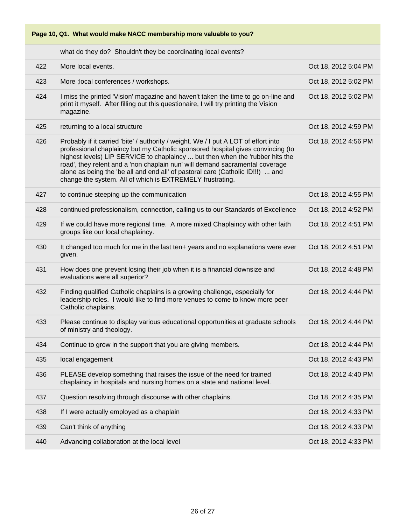

what do they do? Shouldn't they be coordinating local events?

| 422 | More local events.                                                                                                                                                                                                                                                                                                                                                                                                                                                                     | Oct 18, 2012 5:04 PM |
|-----|----------------------------------------------------------------------------------------------------------------------------------------------------------------------------------------------------------------------------------------------------------------------------------------------------------------------------------------------------------------------------------------------------------------------------------------------------------------------------------------|----------------------|
| 423 | More ; local conferences / workshops.                                                                                                                                                                                                                                                                                                                                                                                                                                                  | Oct 18, 2012 5:02 PM |
| 424 | I miss the printed 'Vision' magazine and haven't taken the time to go on-line and<br>print it myself. After filling out this questionaire, I will try printing the Vision<br>magazine.                                                                                                                                                                                                                                                                                                 | Oct 18, 2012 5:02 PM |
| 425 | returning to a local structure                                                                                                                                                                                                                                                                                                                                                                                                                                                         | Oct 18, 2012 4:59 PM |
| 426 | Probably if it carried 'bite' / authority / weight. We / I put A LOT of effort into<br>professional chaplaincy but my Catholic sponsored hospital gives convincing (to<br>highest levels) LIP SERVICE to chaplaincy  but then when the 'rubber hits the<br>road', they relent and a 'non chaplain nun' will demand sacramental coverage<br>alone as being the 'be all and end all' of pastoral care (Catholic ID!!!)  and<br>change the system. All of which is EXTREMELY frustrating. | Oct 18, 2012 4:56 PM |
| 427 | to continue steeping up the communication                                                                                                                                                                                                                                                                                                                                                                                                                                              | Oct 18, 2012 4:55 PM |
| 428 | continued professionalism, connection, calling us to our Standards of Excellence                                                                                                                                                                                                                                                                                                                                                                                                       | Oct 18, 2012 4:52 PM |
| 429 | If we could have more regional time. A more mixed Chaplaincy with other faith<br>groups like our local chaplaincy.                                                                                                                                                                                                                                                                                                                                                                     | Oct 18, 2012 4:51 PM |
| 430 | It changed too much for me in the last ten+ years and no explanations were ever<br>given.                                                                                                                                                                                                                                                                                                                                                                                              | Oct 18, 2012 4:51 PM |
| 431 | How does one prevent losing their job when it is a financial downsize and<br>evaluations were all superior?                                                                                                                                                                                                                                                                                                                                                                            | Oct 18, 2012 4:48 PM |
| 432 | Finding qualified Catholic chaplains is a growing challenge, especially for<br>leadership roles. I would like to find more venues to come to know more peer<br>Catholic chaplains.                                                                                                                                                                                                                                                                                                     | Oct 18, 2012 4:44 PM |
| 433 | Please continue to display various educational opportunities at graduate schools<br>of ministry and theology.                                                                                                                                                                                                                                                                                                                                                                          | Oct 18, 2012 4:44 PM |
| 434 | Continue to grow in the support that you are giving members.                                                                                                                                                                                                                                                                                                                                                                                                                           | Oct 18, 2012 4:44 PM |
| 435 | local engagement                                                                                                                                                                                                                                                                                                                                                                                                                                                                       | Oct 18, 2012 4:43 PM |
| 436 | PLEASE develop something that raises the issue of the need for trained<br>chaplaincy in hospitals and nursing homes on a state and national level.                                                                                                                                                                                                                                                                                                                                     | Oct 18, 2012 4:40 PM |
| 437 | Question resolving through discourse with other chaplains.                                                                                                                                                                                                                                                                                                                                                                                                                             | Oct 18, 2012 4:35 PM |
| 438 | If I were actually employed as a chaplain                                                                                                                                                                                                                                                                                                                                                                                                                                              | Oct 18, 2012 4:33 PM |
| 439 | Can't think of anything                                                                                                                                                                                                                                                                                                                                                                                                                                                                | Oct 18, 2012 4:33 PM |
| 440 | Advancing collaboration at the local level                                                                                                                                                                                                                                                                                                                                                                                                                                             | Oct 18, 2012 4:33 PM |